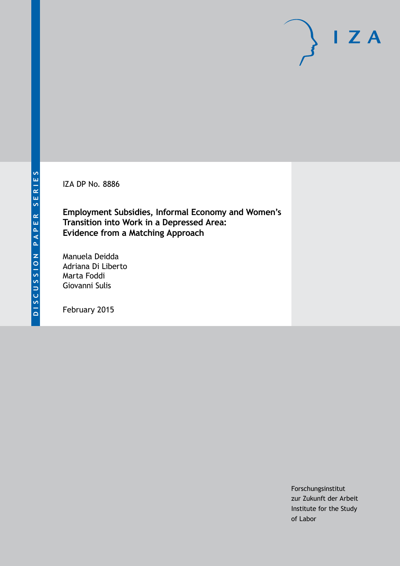IZA DP No. 8886

**Employment Subsidies, Informal Economy and Women's Transition into Work in a Depressed Area: Evidence from a Matching Approach**

Manuela Deidda Adriana Di Liberto Marta Foddi Giovanni Sulis

February 2015

Forschungsinstitut zur Zukunft der Arbeit Institute for the Study of Labor

 $I Z A$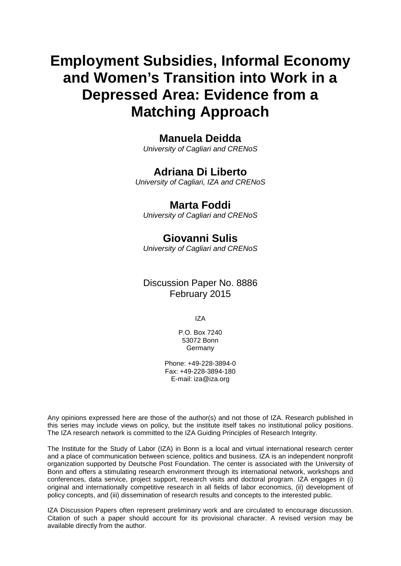# **Employment Subsidies, Informal Economy and Women's Transition into Work in a Depressed Area: Evidence from a Matching Approach**

### **Manuela Deidda**

*University of Cagliari and CRENoS*

### **Adriana Di Liberto**

*University of Cagliari, IZA and CRENoS*

### **Marta Foddi**

*University of Cagliari and CRENoS*

### **Giovanni Sulis**

*University of Cagliari and CRENoS*

### Discussion Paper No. 8886 February 2015

IZA

P.O. Box 7240 53072 Bonn Germany

Phone: +49-228-3894-0 Fax: +49-228-3894-180 E-mail: [iza@iza.org](mailto:iza@iza.org)

Any opinions expressed here are those of the author(s) and not those of IZA. Research published in this series may include views on policy, but the institute itself takes no institutional policy positions. The IZA research network is committed to the IZA Guiding Principles of Research Integrity.

The Institute for the Study of Labor (IZA) in Bonn is a local and virtual international research center and a place of communication between science, politics and business. IZA is an independent nonprofit organization supported by Deutsche Post Foundation. The center is associated with the University of Bonn and offers a stimulating research environment through its international network, workshops and conferences, data service, project support, research visits and doctoral program. IZA engages in (i) original and internationally competitive research in all fields of labor economics, (ii) development of policy concepts, and (iii) dissemination of research results and concepts to the interested public.

<span id="page-1-0"></span>IZA Discussion Papers often represent preliminary work and are circulated to encourage discussion. Citation of such a paper should account for its provisional character. A revised version may be available directly from the author.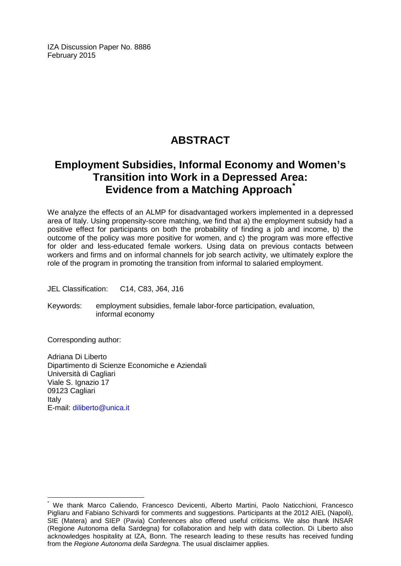IZA Discussion Paper No. 8886 February 2015

# **ABSTRACT**

## **Employment Subsidies, Informal Economy and Women's Transition into Work in a Depressed Area: Evidence from a Matching Approach[\\*](#page-1-0)**

We analyze the effects of an ALMP for disadvantaged workers implemented in a depressed area of Italy. Using propensity-score matching, we find that a) the employment subsidy had a positive effect for participants on both the probability of finding a job and income, b) the outcome of the policy was more positive for women, and c) the program was more effective for older and less-educated female workers. Using data on previous contacts between workers and firms and on informal channels for job search activity, we ultimately explore the role of the program in promoting the transition from informal to salaried employment.

JEL Classification: C14, C83, J64, J16

Keywords: employment subsidies, female labor-force participation, evaluation, informal economy

Corresponding author:

Adriana Di Liberto Dipartimento di Scienze Economiche e Aziendali Università di Cagliari Viale S. Ignazio 17 09123 Cagliari Italy E-mail: [diliberto@unica.it](mailto:diliberto@unica.it)

We thank Marco Caliendo, Francesco Devicenti, Alberto Martini, Paolo Naticchioni, Francesco Pigliaru and Fabiano Schivardi for comments and suggestions. Participants at the 2012 AIEL (Napoli), SIE (Matera) and SIEP (Pavia) Conferences also offered useful criticisms. We also thank INSAR (Regione Autonoma della Sardegna) for collaboration and help with data collection. Di Liberto also acknowledges hospitality at IZA, Bonn. The research leading to these results has received funding from the *Regione Autonoma della Sardegna*. The usual disclaimer applies.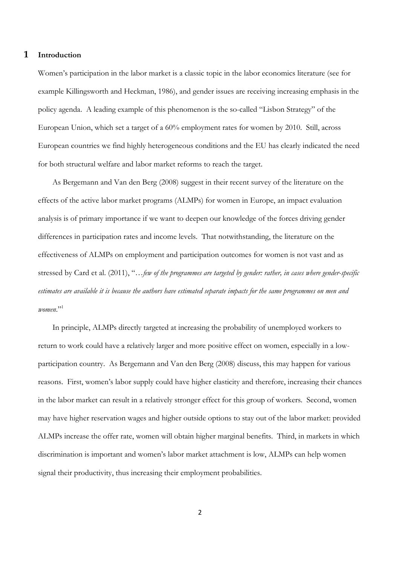#### **1 Introduction**

Women's participation in the labor market is a classic topic in the labor economics literature (see for example Killingsworth and Heckman, 1986), and gender issues are receiving increasing emphasis in the policy agenda. A leading example of this phenomenon is the so-called "Lisbon Strategy" of the European Union, which set a target of a 60% employment rates for women by 2010. Still, across European countries we find highly heterogeneous conditions and the EU has clearly indicated the need for both structural welfare and labor market reforms to reach the target.

As Bergemann and Van den Berg (2008) suggest in their recent survey of the literature on the effects of the active labor market programs (ALMPs) for women in Europe, an impact evaluation analysis is of primary importance if we want to deepen our knowledge of the forces driving gender differences in participation rates and income levels. That notwithstanding, the literature on the effectiveness of ALMPs on employment and participation outcomes for women is not vast and as stressed by Card et al. (2011), "…*few of the programmes are targeted by gender: rather, in cases where gender-specific estimates are available it is because the authors have estimated separate impacts for the same programmes on men and*  women."<sup>1</sup>

In principle, ALMPs directly targeted at increasing the probability of unemployed workers to return to work could have a relatively larger and more positive effect on women, especially in a lowparticipation country. As Bergemann and Van den Berg (2008) discuss, this may happen for various reasons. First, women's labor supply could have higher elasticity and therefore, increasing their chances in the labor market can result in a relatively stronger effect for this group of workers. Second, women may have higher reservation wages and higher outside options to stay out of the labor market: provided ALMPs increase the offer rate, women will obtain higher marginal benefits. Third, in markets in which discrimination is important and women's labor market attachment is low, ALMPs can help women signal their productivity, thus increasing their employment probabilities.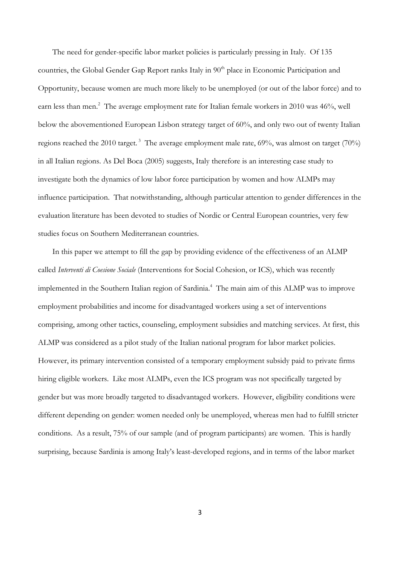The need for gender-specific labor market policies is particularly pressing in Italy. Of 135 countries, the Global Gender Gap Report ranks Italy in 90<sup>th</sup> place in Economic Participation and Opportunity, because women are much more likely to be unemployed (or out of the labor force) and to earn less than men.<sup>2</sup> The average employment rate for Italian female workers in 2010 was 46%, well below the abovementioned European Lisbon strategy target of 60%, and only two out of twenty Italian regions reached the 2010 target.<sup>3</sup> The average employment male rate, 69%, was almost on target (70%) in all Italian regions. As Del Boca (2005) suggests, Italy therefore is an interesting case study to investigate both the dynamics of low labor force participation by women and how ALMPs may influence participation. That notwithstanding, although particular attention to gender differences in the evaluation literature has been devoted to studies of Nordic or Central European countries, very few studies focus on Southern Mediterranean countries.

In this paper we attempt to fill the gap by providing evidence of the effectiveness of an ALMP called *Interventi di Coesione Sociale* (Interventions for Social Cohesion, or ICS), which was recently implemented in the Southern Italian region of Sardinia.<sup>4</sup> The main aim of this ALMP was to improve employment probabilities and income for disadvantaged workers using a set of interventions comprising, among other tactics, counseling, employment subsidies and matching services. At first, this ALMP was considered as a pilot study of the Italian national program for labor market policies. However, its primary intervention consisted of a temporary employment subsidy paid to private firms hiring eligible workers. Like most ALMPs, even the ICS program was not specifically targeted by gender but was more broadly targeted to disadvantaged workers. However, eligibility conditions were different depending on gender: women needed only be unemployed, whereas men had to fulfill stricter conditions. As a result, 75% of our sample (and of program participants) are women. This is hardly surprising, because Sardinia is among Italy's least-developed regions, and in terms of the labor market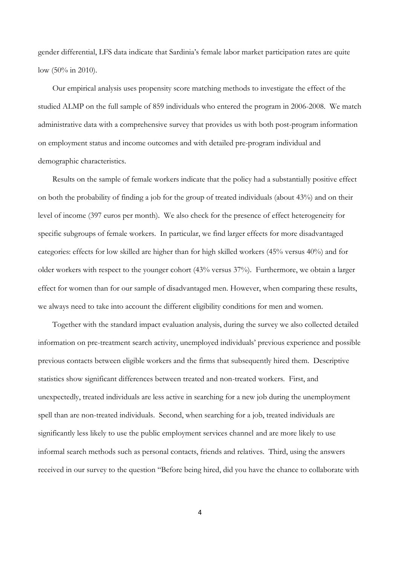gender differential, LFS data indicate that Sardinia's female labor market participation rates are quite low (50% in 2010).

Our empirical analysis uses propensity score matching methods to investigate the effect of the studied ALMP on the full sample of 859 individuals who entered the program in 2006-2008. We match administrative data with a comprehensive survey that provides us with both post-program information on employment status and income outcomes and with detailed pre-program individual and demographic characteristics.

Results on the sample of female workers indicate that the policy had a substantially positive effect on both the probability of finding a job for the group of treated individuals (about 43%) and on their level of income (397 euros per month). We also check for the presence of effect heterogeneity for specific subgroups of female workers. In particular, we find larger effects for more disadvantaged categories: effects for low skilled are higher than for high skilled workers (45% versus 40%) and for older workers with respect to the younger cohort (43% versus 37%). Furthermore, we obtain a larger effect for women than for our sample of disadvantaged men. However, when comparing these results, we always need to take into account the different eligibility conditions for men and women.

Together with the standard impact evaluation analysis, during the survey we also collected detailed information on pre-treatment search activity, unemployed individuals' previous experience and possible previous contacts between eligible workers and the firms that subsequently hired them. Descriptive statistics show significant differences between treated and non-treated workers. First, and unexpectedly, treated individuals are less active in searching for a new job during the unemployment spell than are non-treated individuals. Second, when searching for a job, treated individuals are significantly less likely to use the public employment services channel and are more likely to use informal search methods such as personal contacts, friends and relatives. Third, using the answers received in our survey to the question "Before being hired, did you have the chance to collaborate with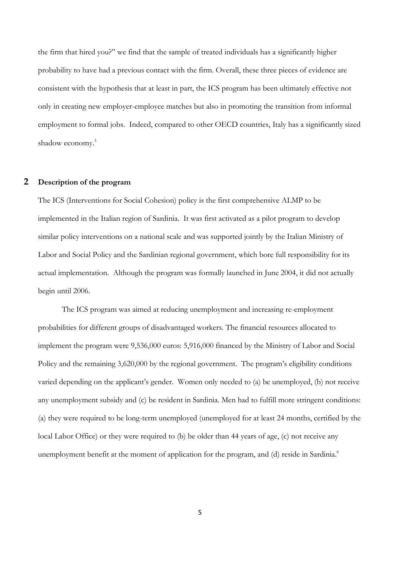the firm that hired you?" we find that the sample of treated individuals has a significantly higher probability to have had a previous contact with the firm. Overall, these three pieces of evidence are consistent with the hypothesis that at least in part, the ICS program has been ultimately effective not only in creating new employer-employee matches but also in promoting the transition from informal employment to formal jobs. Indeed, compared to other OECD countries, Italy has a significantly sized shadow economy.<sup>5</sup>

#### **2 Description of the program**

The ICS (Interventions for Social Cohesion) policy is the first comprehensive ALMP to be implemented in the Italian region of Sardinia. It was first activated as a pilot program to develop similar policy interventions on a national scale and was supported jointly by the Italian Ministry of Labor and Social Policy and the Sardinian regional government, which bore full responsibility for its actual implementation. Although the program was formally launched in June 2004, it did not actually begin until 2006.

The ICS program was aimed at reducing unemployment and increasing re-employment probabilities for different groups of disadvantaged workers. The financial resources allocated to implement the program were 9,536,000 euros: 5,916,000 financed by the Ministry of Labor and Social Policy and the remaining 3,620,000 by the regional government. The program's eligibility conditions varied depending on the applicant's gender. Women only needed to (a) be unemployed, (b) not receive any unemployment subsidy and (c) be resident in Sardinia. Men had to fulfill more stringent conditions: (a) they were required to be long-term unemployed (unemployed for at least 24 months, certified by the local Labor Office) or they were required to (b) be older than 44 years of age, (c) not receive any unemployment benefit at the moment of application for the program, and (d) reside in Sardinia.<sup>6</sup>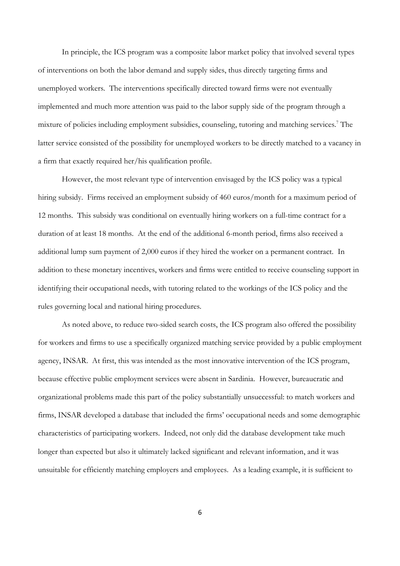In principle, the ICS program was a composite labor market policy that involved several types of interventions on both the labor demand and supply sides, thus directly targeting firms and unemployed workers. The interventions specifically directed toward firms were not eventually implemented and much more attention was paid to the labor supply side of the program through a mixture of policies including employment subsidies, counseling, tutoring and matching services.<sup>7</sup> The latter service consisted of the possibility for unemployed workers to be directly matched to a vacancy in a firm that exactly required her/his qualification profile.

However, the most relevant type of intervention envisaged by the ICS policy was a typical hiring subsidy. Firms received an employment subsidy of 460 euros/month for a maximum period of 12 months. This subsidy was conditional on eventually hiring workers on a full-time contract for a duration of at least 18 months. At the end of the additional 6-month period, firms also received a additional lump sum payment of 2,000 euros if they hired the worker on a permanent contract. In addition to these monetary incentives, workers and firms were entitled to receive counseling support in identifying their occupational needs, with tutoring related to the workings of the ICS policy and the rules governing local and national hiring procedures.

As noted above, to reduce two-sided search costs, the ICS program also offered the possibility for workers and firms to use a specifically organized matching service provided by a public employment agency, INSAR. At first, this was intended as the most innovative intervention of the ICS program, because effective public employment services were absent in Sardinia. However, bureaucratic and organizational problems made this part of the policy substantially unsuccessful: to match workers and firms, INSAR developed a database that included the firms' occupational needs and some demographic characteristics of participating workers. Indeed, not only did the database development take much longer than expected but also it ultimately lacked significant and relevant information, and it was unsuitable for efficiently matching employers and employees. As a leading example, it is sufficient to

6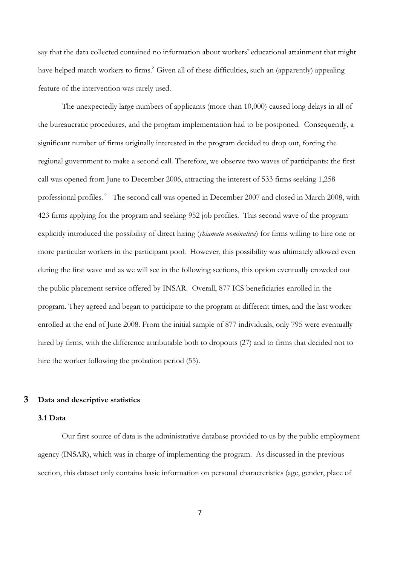say that the data collected contained no information about workers' educational attainment that might have helped match workers to firms.<sup>8</sup> Given all of these difficulties, such an (apparently) appealing feature of the intervention was rarely used.

The unexpectedly large numbers of applicants (more than 10,000) caused long delays in all of the bureaucratic procedures, and the program implementation had to be postponed. Consequently, a significant number of firms originally interested in the program decided to drop out, forcing the regional government to make a second call. Therefore, we observe two waves of participants: the first call was opened from June to December 2006, attracting the interest of 533 firms seeking 1,258 professional profiles.<sup>9</sup> The second call was opened in December 2007 and closed in March 2008, with 423 firms applying for the program and seeking 952 job profiles. This second wave of the program explicitly introduced the possibility of direct hiring (*chiamata nominativa*) for firms willing to hire one or more particular workers in the participant pool. However, this possibility was ultimately allowed even during the first wave and as we will see in the following sections, this option eventually crowded out the public placement service offered by INSAR. Overall, 877 ICS beneficiaries enrolled in the program. They agreed and began to participate to the program at different times, and the last worker enrolled at the end of June 2008. From the initial sample of 877 individuals, only 795 were eventually hired by firms, with the difference attributable both to dropouts (27) and to firms that decided not to hire the worker following the probation period (55).

#### **3 Data and descriptive statistics**

#### **3.1 Data**

Our first source of data is the administrative database provided to us by the public employment agency (INSAR), which was in charge of implementing the program. As discussed in the previous section, this dataset only contains basic information on personal characteristics (age, gender, place of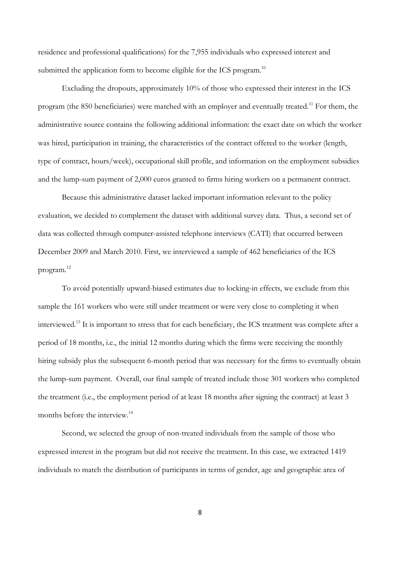residence and professional qualifications) for the 7,955 individuals who expressed interest and submitted the application form to become eligible for the ICS program.<sup>10</sup>

Excluding the dropouts, approximately 10% of those who expressed their interest in the ICS program (the 850 beneficiaries) were matched with an employer and eventually treated.<sup>11</sup> For them, the administrative source contains the following additional information: the exact date on which the worker was hired, participation in training, the characteristics of the contract offered to the worker (length, type of contract, hours/week), occupational skill profile, and information on the employment subsidies and the lump-sum payment of 2,000 euros granted to firms hiring workers on a permanent contract.

Because this administrative dataset lacked important information relevant to the policy evaluation, we decided to complement the dataset with additional survey data. Thus, a second set of data was collected through computer-assisted telephone interviews (CATI) that occurred between December 2009 and March 2010. First, we interviewed a sample of 462 beneficiaries of the ICS program.<sup>12</sup>

To avoid potentially upward-biased estimates due to locking-in effects, we exclude from this sample the 161 workers who were still under treatment or were very close to completing it when interviewed.<sup>13</sup> It is important to stress that for each beneficiary, the ICS treatment was complete after a period of 18 months, i.e., the initial 12 months during which the firms were receiving the monthly hiring subsidy plus the subsequent 6-month period that was necessary for the firms to eventually obtain the lump-sum payment. Overall, our final sample of treated include those 301 workers who completed the treatment (i.e., the employment period of at least 18 months after signing the contract) at least 3 months before the interview.<sup>14</sup>

Second, we selected the group of non-treated individuals from the sample of those who expressed interest in the program but did not receive the treatment. In this case, we extracted 1419 individuals to match the distribution of participants in terms of gender, age and geographic area of

8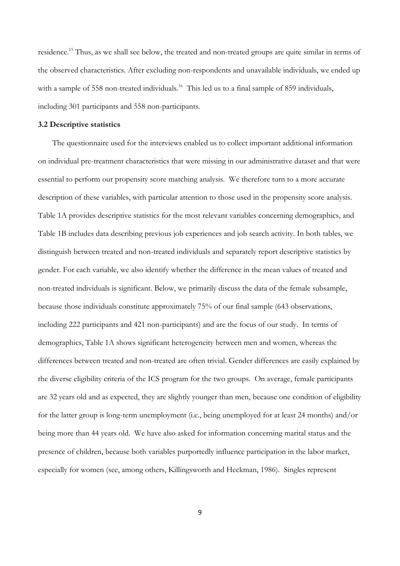residence.<sup>15</sup> Thus, as we shall see below, the treated and non-treated groups are quite similar in terms of the observed characteristics. After excluding non-respondents and unavailable individuals, we ended up with a sample of 558 non-treated individuals.<sup>16</sup> This led us to a final sample of 859 individuals, including 301 participants and 558 non-participants.

#### **3.2 Descriptive statistics**

The questionnaire used for the interviews enabled us to collect important additional information on individual pre-treatment characteristics that were missing in our administrative dataset and that were essential to perform our propensity score matching analysis. We therefore turn to a more accurate description of these variables, with particular attention to those used in the propensity score analysis. Table 1A provides descriptive statistics for the most relevant variables concerning demographics, and Table 1B includes data describing previous job experiences and job search activity. In both tables, we distinguish between treated and non-treated individuals and separately report descriptive statistics by gender. For each variable, we also identify whether the difference in the mean values of treated and non-treated individuals is significant. Below, we primarily discuss the data of the female subsample, because those individuals constitute approximately 75% of our final sample (643 observations, including 222 participants and 421 non-participants) and are the focus of our study. In terms of demographics, Table 1A shows significant heterogeneity between men and women, whereas the differences between treated and non-treated are often trivial. Gender differences are easily explained by the diverse eligibility criteria of the ICS program for the two groups. On average, female participants are 32 years old and as expected, they are slightly younger than men, because one condition of eligibility for the latter group is long-term unemployment (i.e., being unemployed for at least 24 months) and/or being more than 44 years old. We have also asked for information concerning marital status and the presence of children, because both variables purportedly influence participation in the labor market, especially for women (see, among others, Killingsworth and Heckman, 1986). Singles represent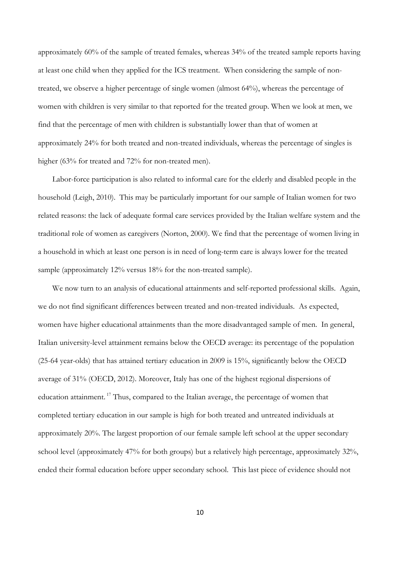approximately 60% of the sample of treated females, whereas 34% of the treated sample reports having at least one child when they applied for the ICS treatment. When considering the sample of nontreated, we observe a higher percentage of single women (almost 64%), whereas the percentage of women with children is very similar to that reported for the treated group. When we look at men, we find that the percentage of men with children is substantially lower than that of women at approximately 24% for both treated and non-treated individuals, whereas the percentage of singles is higher (63% for treated and 72% for non-treated men).

Labor-force participation is also related to informal care for the elderly and disabled people in the household (Leigh, 2010). This may be particularly important for our sample of Italian women for two related reasons: the lack of adequate formal care services provided by the Italian welfare system and the traditional role of women as caregivers (Norton, 2000). We find that the percentage of women living in a household in which at least one person is in need of long-term care is always lower for the treated sample (approximately 12% versus 18% for the non-treated sample).

We now turn to an analysis of educational attainments and self-reported professional skills. Again, we do not find significant differences between treated and non-treated individuals. As expected, women have higher educational attainments than the more disadvantaged sample of men. In general, Italian university-level attainment remains below the OECD average: its percentage of the population (25-64 year-olds) that has attained tertiary education in 2009 is 15%, significantly below the OECD average of 31% (OECD, 2012). Moreover, Italy has one of the highest regional dispersions of education attainment.<sup>17</sup> Thus, compared to the Italian average, the percentage of women that completed tertiary education in our sample is high for both treated and untreated individuals at approximately 20%. The largest proportion of our female sample left school at the upper secondary school level (approximately 47% for both groups) but a relatively high percentage, approximately 32%, ended their formal education before upper secondary school. This last piece of evidence should not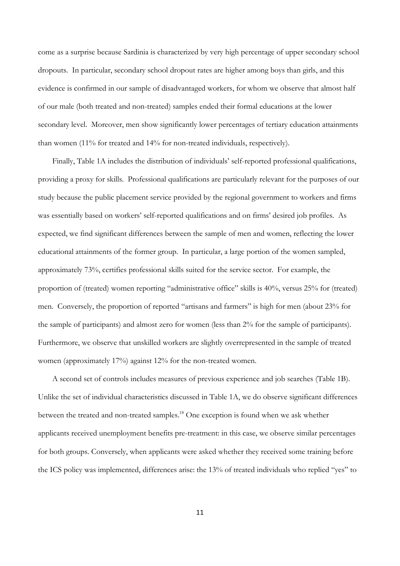come as a surprise because Sardinia is characterized by very high percentage of upper secondary school dropouts. In particular, secondary school dropout rates are higher among boys than girls, and this evidence is confirmed in our sample of disadvantaged workers, for whom we observe that almost half of our male (both treated and non-treated) samples ended their formal educations at the lower secondary level. Moreover, men show significantly lower percentages of tertiary education attainments than women (11% for treated and 14% for non-treated individuals, respectively).

Finally, Table 1A includes the distribution of individuals' self-reported professional qualifications, providing a proxy for skills. Professional qualifications are particularly relevant for the purposes of our study because the public placement service provided by the regional government to workers and firms was essentially based on workers' self-reported qualifications and on firms' desired job profiles. As expected, we find significant differences between the sample of men and women, reflecting the lower educational attainments of the former group. In particular, a large portion of the women sampled, approximately 73%, certifies professional skills suited for the service sector. For example, the proportion of (treated) women reporting "administrative office" skills is 40%, versus 25% for (treated) men. Conversely, the proportion of reported "artisans and farmers" is high for men (about 23% for the sample of participants) and almost zero for women (less than 2% for the sample of participants). Furthermore, we observe that unskilled workers are slightly overrepresented in the sample of treated women (approximately 17%) against 12% for the non-treated women.

A second set of controls includes measures of previous experience and job searches (Table 1B). Unlike the set of individual characteristics discussed in Table 1A, we do observe significant differences between the treated and non-treated samples. <sup>18</sup> One exception is found when we ask whether applicants received unemployment benefits pre-treatment: in this case, we observe similar percentages for both groups. Conversely, when applicants were asked whether they received some training before the ICS policy was implemented, differences arise: the 13% of treated individuals who replied "yes" to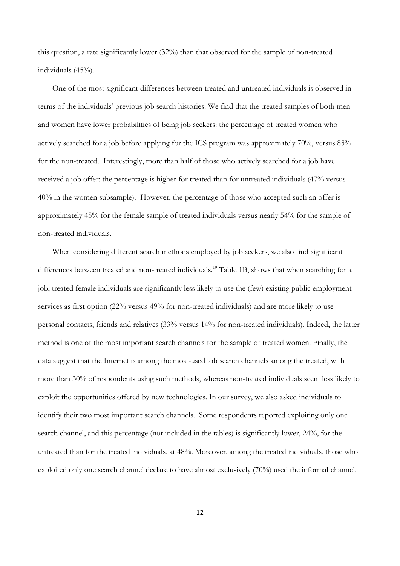this question, a rate significantly lower (32%) than that observed for the sample of non-treated individuals (45%).

One of the most significant differences between treated and untreated individuals is observed in terms of the individuals' previous job search histories. We find that the treated samples of both men and women have lower probabilities of being job seekers: the percentage of treated women who actively searched for a job before applying for the ICS program was approximately 70%, versus 83% for the non-treated. Interestingly, more than half of those who actively searched for a job have received a job offer: the percentage is higher for treated than for untreated individuals (47% versus 40% in the women subsample). However, the percentage of those who accepted such an offer is approximately 45% for the female sample of treated individuals versus nearly 54% for the sample of non-treated individuals.

When considering different search methods employed by job seekers, we also find significant differences between treated and non-treated individuals.<sup>19</sup> Table 1B, shows that when searching for a job, treated female individuals are significantly less likely to use the (few) existing public employment services as first option (22% versus 49% for non-treated individuals) and are more likely to use personal contacts, friends and relatives (33% versus 14% for non-treated individuals). Indeed, the latter method is one of the most important search channels for the sample of treated women. Finally, the data suggest that the Internet is among the most-used job search channels among the treated, with more than 30% of respondents using such methods, whereas non-treated individuals seem less likely to exploit the opportunities offered by new technologies. In our survey, we also asked individuals to identify their two most important search channels. Some respondents reported exploiting only one search channel, and this percentage (not included in the tables) is significantly lower, 24%, for the untreated than for the treated individuals, at 48%. Moreover, among the treated individuals, those who exploited only one search channel declare to have almost exclusively (70%) used the informal channel.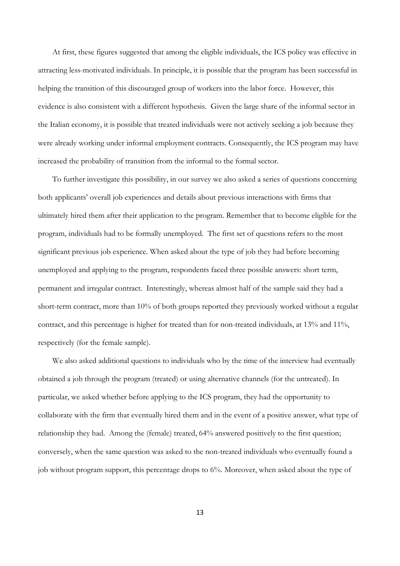At first, these figures suggested that among the eligible individuals, the ICS policy was effective in attracting less-motivated individuals. In principle, it is possible that the program has been successful in helping the transition of this discouraged group of workers into the labor force. However, this evidence is also consistent with a different hypothesis. Given the large share of the informal sector in the Italian economy, it is possible that treated individuals were not actively seeking a job because they were already working under informal employment contracts. Consequently, the ICS program may have increased the probability of transition from the informal to the formal sector.

To further investigate this possibility, in our survey we also asked a series of questions concerning both applicants' overall job experiences and details about previous interactions with firms that ultimately hired them after their application to the program. Remember that to become eligible for the program, individuals had to be formally unemployed. The first set of questions refers to the most significant previous job experience. When asked about the type of job they had before becoming unemployed and applying to the program, respondents faced three possible answers: short term, permanent and irregular contract. Interestingly, whereas almost half of the sample said they had a short-term contract, more than 10% of both groups reported they previously worked without a regular contract, and this percentage is higher for treated than for non-treated individuals, at 13% and 11%, respectively (for the female sample).

We also asked additional questions to individuals who by the time of the interview had eventually obtained a job through the program (treated) or using alternative channels (for the untreated). In particular, we asked whether before applying to the ICS program, they had the opportunity to collaborate with the firm that eventually hired them and in the event of a positive answer, what type of relationship they had. Among the (female) treated, 64% answered positively to the first question; conversely, when the same question was asked to the non-treated individuals who eventually found a job without program support, this percentage drops to 6%. Moreover, when asked about the type of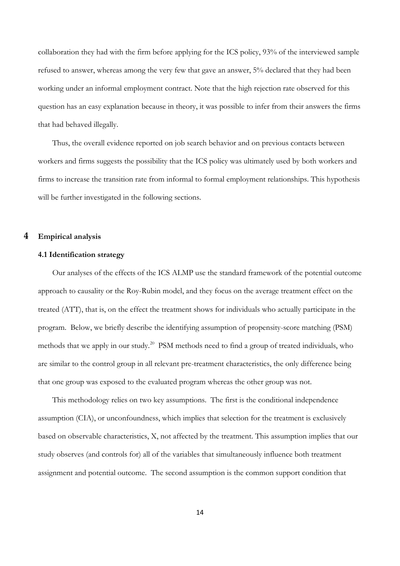collaboration they had with the firm before applying for the ICS policy, 93% of the interviewed sample refused to answer, whereas among the very few that gave an answer, 5% declared that they had been working under an informal employment contract. Note that the high rejection rate observed for this question has an easy explanation because in theory, it was possible to infer from their answers the firms that had behaved illegally.

Thus, the overall evidence reported on job search behavior and on previous contacts between workers and firms suggests the possibility that the ICS policy was ultimately used by both workers and firms to increase the transition rate from informal to formal employment relationships. This hypothesis will be further investigated in the following sections.

#### **4 Empirical analysis**

#### **4.1 Identification strategy**

Our analyses of the effects of the ICS ALMP use the standard framework of the potential outcome approach to causality or the Roy-Rubin model, and they focus on the average treatment effect on the treated (ATT), that is, on the effect the treatment shows for individuals who actually participate in the program. Below, we briefly describe the identifying assumption of propensity-score matching (PSM) methods that we apply in our study.<sup>20</sup> PSM methods need to find a group of treated individuals, who are similar to the control group in all relevant pre-treatment characteristics, the only difference being that one group was exposed to the evaluated program whereas the other group was not.

This methodology relies on two key assumptions. The first is the conditional independence assumption (CIA), or unconfoundness, which implies that selection for the treatment is exclusively based on observable characteristics, X, not affected by the treatment. This assumption implies that our study observes (and controls for) all of the variables that simultaneously influence both treatment assignment and potential outcome. The second assumption is the common support condition that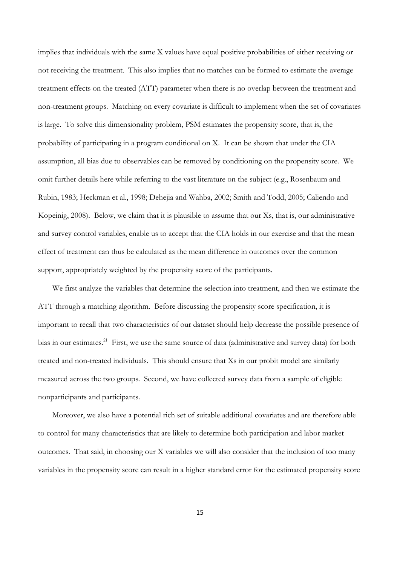implies that individuals with the same X values have equal positive probabilities of either receiving or not receiving the treatment. This also implies that no matches can be formed to estimate the average treatment effects on the treated (ATT) parameter when there is no overlap between the treatment and non-treatment groups. Matching on every covariate is difficult to implement when the set of covariates is large. To solve this dimensionality problem, PSM estimates the propensity score, that is, the probability of participating in a program conditional on X. It can be shown that under the CIA assumption, all bias due to observables can be removed by conditioning on the propensity score. We omit further details here while referring to the vast literature on the subject (e.g., Rosenbaum and Rubin, 1983; Heckman et al., 1998; Dehejia and Wahba, 2002; Smith and Todd, 2005; Caliendo and Kopeinig, 2008). Below, we claim that it is plausible to assume that our Xs, that is, our administrative and survey control variables, enable us to accept that the CIA holds in our exercise and that the mean effect of treatment can thus be calculated as the mean difference in outcomes over the common support, appropriately weighted by the propensity score of the participants.

We first analyze the variables that determine the selection into treatment, and then we estimate the ATT through a matching algorithm. Before discussing the propensity score specification, it is important to recall that two characteristics of our dataset should help decrease the possible presence of bias in our estimates.<sup>21</sup> First, we use the same source of data (administrative and survey data) for both treated and non-treated individuals. This should ensure that Xs in our probit model are similarly measured across the two groups. Second, we have collected survey data from a sample of eligible nonparticipants and participants.

Moreover, we also have a potential rich set of suitable additional covariates and are therefore able to control for many characteristics that are likely to determine both participation and labor market outcomes. That said, in choosing our X variables we will also consider that the inclusion of too many variables in the propensity score can result in a higher standard error for the estimated propensity score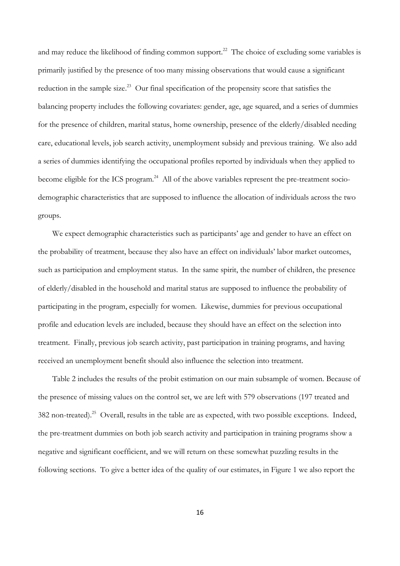and may reduce the likelihood of finding common support.<sup>22</sup> The choice of excluding some variables is primarily justified by the presence of too many missing observations that would cause a significant reduction in the sample size.<sup>23</sup> Our final specification of the propensity score that satisfies the balancing property includes the following covariates: gender, age, age squared, and a series of dummies for the presence of children, marital status, home ownership, presence of the elderly/disabled needing care, educational levels, job search activity, unemployment subsidy and previous training. We also add a series of dummies identifying the occupational profiles reported by individuals when they applied to become eligible for the ICS program.<sup>24</sup> All of the above variables represent the pre-treatment sociodemographic characteristics that are supposed to influence the allocation of individuals across the two groups.

We expect demographic characteristics such as participants' age and gender to have an effect on the probability of treatment, because they also have an effect on individuals' labor market outcomes, such as participation and employment status. In the same spirit, the number of children, the presence of elderly/disabled in the household and marital status are supposed to influence the probability of participating in the program, especially for women. Likewise, dummies for previous occupational profile and education levels are included, because they should have an effect on the selection into treatment. Finally, previous job search activity, past participation in training programs, and having received an unemployment benefit should also influence the selection into treatment.

Table 2 includes the results of the probit estimation on our main subsample of women. Because of the presence of missing values on the control set, we are left with 579 observations (197 treated and 382 non-treated).<sup>25</sup> Overall, results in the table are as expected, with two possible exceptions. Indeed, the pre-treatment dummies on both job search activity and participation in training programs show a negative and significant coefficient, and we will return on these somewhat puzzling results in the following sections. To give a better idea of the quality of our estimates, in Figure 1 we also report the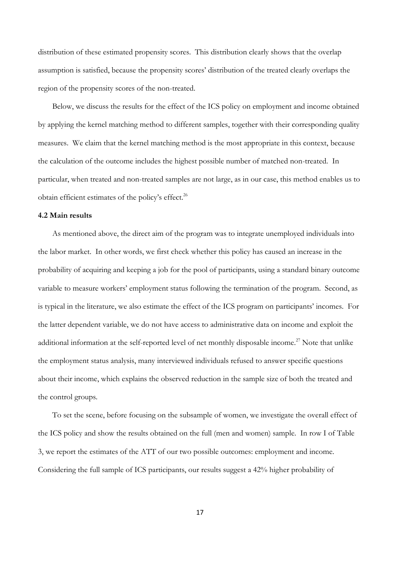distribution of these estimated propensity scores. This distribution clearly shows that the overlap assumption is satisfied, because the propensity scores' distribution of the treated clearly overlaps the region of the propensity scores of the non-treated.

Below, we discuss the results for the effect of the ICS policy on employment and income obtained by applying the kernel matching method to different samples, together with their corresponding quality measures. We claim that the kernel matching method is the most appropriate in this context, because the calculation of the outcome includes the highest possible number of matched non-treated. In particular, when treated and non-treated samples are not large, as in our case, this method enables us to obtain efficient estimates of the policy's effect.<sup>26</sup>

#### **4.2 Main results**

As mentioned above, the direct aim of the program was to integrate unemployed individuals into the labor market. In other words, we first check whether this policy has caused an increase in the probability of acquiring and keeping a job for the pool of participants, using a standard binary outcome variable to measure workers' employment status following the termination of the program. Second, as is typical in the literature, we also estimate the effect of the ICS program on participants' incomes. For the latter dependent variable, we do not have access to administrative data on income and exploit the additional information at the self-reported level of net monthly disposable income.<sup>27</sup> Note that unlike the employment status analysis, many interviewed individuals refused to answer specific questions about their income, which explains the observed reduction in the sample size of both the treated and the control groups.

To set the scene, before focusing on the subsample of women, we investigate the overall effect of the ICS policy and show the results obtained on the full (men and women) sample. In row I of Table 3, we report the estimates of the ATT of our two possible outcomes: employment and income. Considering the full sample of ICS participants, our results suggest a 42% higher probability of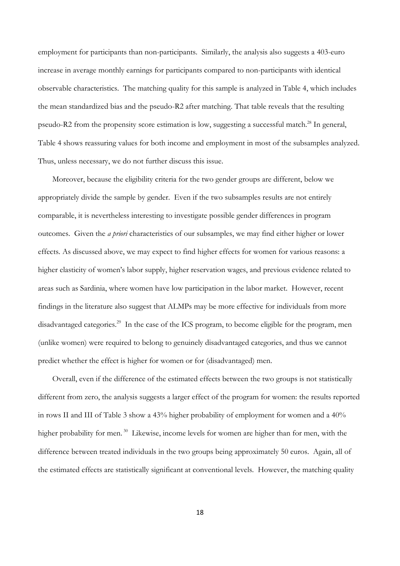employment for participants than non-participants. Similarly, the analysis also suggests a 403-euro increase in average monthly earnings for participants compared to non-participants with identical observable characteristics. The matching quality for this sample is analyzed in Table 4, which includes the mean standardized bias and the pseudo-R2 after matching. That table reveals that the resulting pseudo-R2 from the propensity score estimation is low, suggesting a successful match.<sup>28</sup> In general, Table 4 shows reassuring values for both income and employment in most of the subsamples analyzed. Thus, unless necessary, we do not further discuss this issue.

Moreover, because the eligibility criteria for the two gender groups are different, below we appropriately divide the sample by gender. Even if the two subsamples results are not entirely comparable, it is nevertheless interesting to investigate possible gender differences in program outcomes. Given the *a priori* characteristics of our subsamples, we may find either higher or lower effects. As discussed above, we may expect to find higher effects for women for various reasons: a higher elasticity of women's labor supply, higher reservation wages, and previous evidence related to areas such as Sardinia, where women have low participation in the labor market. However, recent findings in the literature also suggest that ALMPs may be more effective for individuals from more disadvantaged categories.<sup>29</sup> In the case of the ICS program, to become eligible for the program, men (unlike women) were required to belong to genuinely disadvantaged categories, and thus we cannot predict whether the effect is higher for women or for (disadvantaged) men.

Overall, even if the difference of the estimated effects between the two groups is not statistically different from zero, the analysis suggests a larger effect of the program for women: the results reported in rows II and III of Table 3 show a 43% higher probability of employment for women and a 40% higher probability for men.<sup>30</sup> Likewise, income levels for women are higher than for men, with the difference between treated individuals in the two groups being approximately 50 euros. Again, all of the estimated effects are statistically significant at conventional levels. However, the matching quality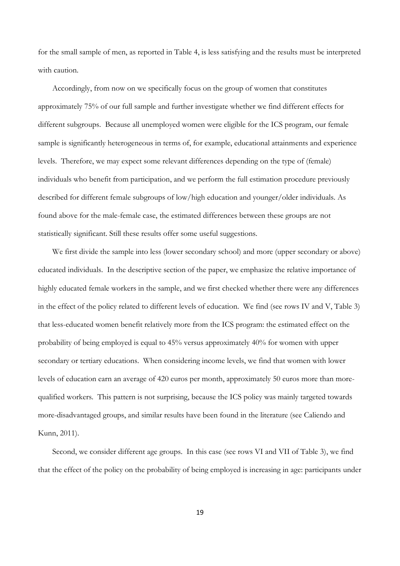for the small sample of men, as reported in Table 4, is less satisfying and the results must be interpreted with caution.

Accordingly, from now on we specifically focus on the group of women that constitutes approximately 75% of our full sample and further investigate whether we find different effects for different subgroups. Because all unemployed women were eligible for the ICS program, our female sample is significantly heterogeneous in terms of, for example, educational attainments and experience levels. Therefore, we may expect some relevant differences depending on the type of (female) individuals who benefit from participation, and we perform the full estimation procedure previously described for different female subgroups of low/high education and younger/older individuals. As found above for the male-female case, the estimated differences between these groups are not statistically significant. Still these results offer some useful suggestions.

We first divide the sample into less (lower secondary school) and more (upper secondary or above) educated individuals. In the descriptive section of the paper, we emphasize the relative importance of highly educated female workers in the sample, and we first checked whether there were any differences in the effect of the policy related to different levels of education. We find (see rows IV and V, Table 3) that less-educated women benefit relatively more from the ICS program: the estimated effect on the probability of being employed is equal to 45% versus approximately 40% for women with upper secondary or tertiary educations. When considering income levels, we find that women with lower levels of education earn an average of 420 euros per month, approximately 50 euros more than morequalified workers. This pattern is not surprising, because the ICS policy was mainly targeted towards more-disadvantaged groups, and similar results have been found in the literature (see Caliendo and Kunn, 2011).

Second, we consider different age groups. In this case (see rows VI and VII of Table 3), we find that the effect of the policy on the probability of being employed is increasing in age: participants under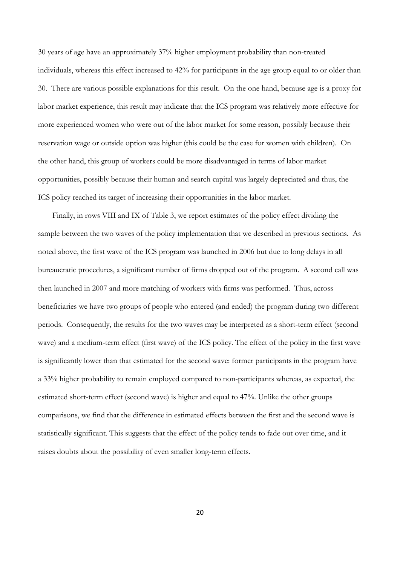30 years of age have an approximately 37% higher employment probability than non-treated individuals, whereas this effect increased to 42% for participants in the age group equal to or older than 30. There are various possible explanations for this result. On the one hand, because age is a proxy for labor market experience, this result may indicate that the ICS program was relatively more effective for more experienced women who were out of the labor market for some reason, possibly because their reservation wage or outside option was higher (this could be the case for women with children). On the other hand, this group of workers could be more disadvantaged in terms of labor market opportunities, possibly because their human and search capital was largely depreciated and thus, the ICS policy reached its target of increasing their opportunities in the labor market.

Finally, in rows VIII and IX of Table 3, we report estimates of the policy effect dividing the sample between the two waves of the policy implementation that we described in previous sections. As noted above, the first wave of the ICS program was launched in 2006 but due to long delays in all bureaucratic procedures, a significant number of firms dropped out of the program. A second call was then launched in 2007 and more matching of workers with firms was performed. Thus, across beneficiaries we have two groups of people who entered (and ended) the program during two different periods. Consequently, the results for the two waves may be interpreted as a short-term effect (second wave) and a medium-term effect (first wave) of the ICS policy. The effect of the policy in the first wave is significantly lower than that estimated for the second wave: former participants in the program have a 33% higher probability to remain employed compared to non-participants whereas, as expected, the estimated short-term effect (second wave) is higher and equal to 47%. Unlike the other groups comparisons, we find that the difference in estimated effects between the first and the second wave is statistically significant. This suggests that the effect of the policy tends to fade out over time, and it raises doubts about the possibility of even smaller long-term effects.

20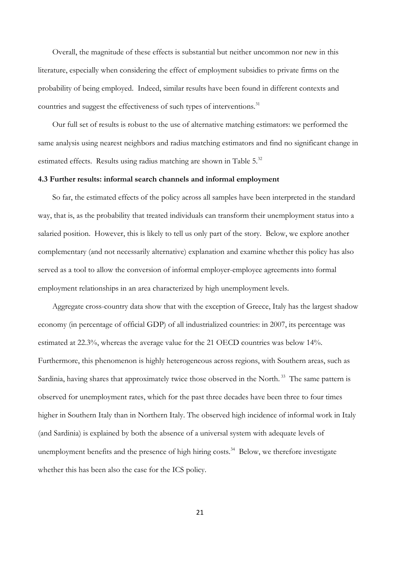Overall, the magnitude of these effects is substantial but neither uncommon nor new in this literature, especially when considering the effect of employment subsidies to private firms on the probability of being employed. Indeed, similar results have been found in different contexts and countries and suggest the effectiveness of such types of interventions.<sup>31</sup>

Our full set of results is robust to the use of alternative matching estimators: we performed the same analysis using nearest neighbors and radius matching estimators and find no significant change in estimated effects. Results using radius matching are shown in Table  $5^{32}$ 

#### **4.3 Further results: informal search channels and informal employment**

So far, the estimated effects of the policy across all samples have been interpreted in the standard way, that is, as the probability that treated individuals can transform their unemployment status into a salaried position. However, this is likely to tell us only part of the story. Below, we explore another complementary (and not necessarily alternative) explanation and examine whether this policy has also served as a tool to allow the conversion of informal employer-employee agreements into formal employment relationships in an area characterized by high unemployment levels.

Aggregate cross-country data show that with the exception of Greece, Italy has the largest shadow economy (in percentage of official GDP) of all industrialized countries: in 2007, its percentage was estimated at 22.3%, whereas the average value for the 21 OECD countries was below 14%. Furthermore, this phenomenon is highly heterogeneous across regions, with Southern areas, such as Sardinia, having shares that approximately twice those observed in the North.<sup>33</sup> The same pattern is observed for unemployment rates, which for the past three decades have been three to four times higher in Southern Italy than in Northern Italy. The observed high incidence of informal work in Italy (and Sardinia) is explained by both the absence of a universal system with adequate levels of unemployment benefits and the presence of high hiring costs.<sup>34</sup> Below, we therefore investigate whether this has been also the case for the ICS policy.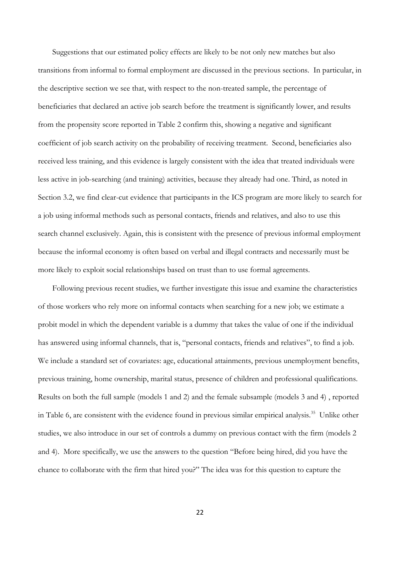Suggestions that our estimated policy effects are likely to be not only new matches but also transitions from informal to formal employment are discussed in the previous sections. In particular, in the descriptive section we see that, with respect to the non-treated sample, the percentage of beneficiaries that declared an active job search before the treatment is significantly lower, and results from the propensity score reported in Table 2 confirm this, showing a negative and significant coefficient of job search activity on the probability of receiving treatment. Second, beneficiaries also received less training, and this evidence is largely consistent with the idea that treated individuals were less active in job-searching (and training) activities, because they already had one. Third, as noted in Section 3.2, we find clear-cut evidence that participants in the ICS program are more likely to search for a job using informal methods such as personal contacts, friends and relatives, and also to use this search channel exclusively. Again, this is consistent with the presence of previous informal employment because the informal economy is often based on verbal and illegal contracts and necessarily must be more likely to exploit social relationships based on trust than to use formal agreements.

Following previous recent studies, we further investigate this issue and examine the characteristics of those workers who rely more on informal contacts when searching for a new job; we estimate a probit model in which the dependent variable is a dummy that takes the value of one if the individual has answered using informal channels, that is, "personal contacts, friends and relatives", to find a job. We include a standard set of covariates: age, educational attainments, previous unemployment benefits, previous training, home ownership, marital status, presence of children and professional qualifications. Results on both the full sample (models 1 and 2) and the female subsample (models 3 and 4) , reported in Table 6, are consistent with the evidence found in previous similar empirical analysis.<sup>35</sup> Unlike other studies, we also introduce in our set of controls a dummy on previous contact with the firm (models 2 and 4). More specifically, we use the answers to the question "Before being hired, did you have the chance to collaborate with the firm that hired you?" The idea was for this question to capture the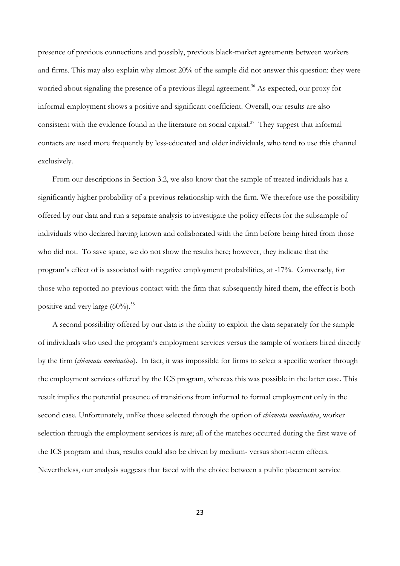presence of previous connections and possibly, previous black-market agreements between workers and firms. This may also explain why almost 20% of the sample did not answer this question: they were worried about signaling the presence of a previous illegal agreement.<sup>36</sup> As expected, our proxy for informal employment shows a positive and significant coefficient. Overall, our results are also consistent with the evidence found in the literature on social capital.<sup>37</sup> They suggest that informal contacts are used more frequently by less-educated and older individuals, who tend to use this channel exclusively.

From our descriptions in Section 3.2, we also know that the sample of treated individuals has a significantly higher probability of a previous relationship with the firm. We therefore use the possibility offered by our data and run a separate analysis to investigate the policy effects for the subsample of individuals who declared having known and collaborated with the firm before being hired from those who did not. To save space, we do not show the results here; however, they indicate that the program's effect of is associated with negative employment probabilities, at -17%. Conversely, for those who reported no previous contact with the firm that subsequently hired them, the effect is both positive and very large  $(60\%)$ .<sup>38</sup>

A second possibility offered by our data is the ability to exploit the data separately for the sample of individuals who used the program's employment services versus the sample of workers hired directly by the firm (*chiamata nominativa*). In fact, it was impossible for firms to select a specific worker through the employment services offered by the ICS program, whereas this was possible in the latter case. This result implies the potential presence of transitions from informal to formal employment only in the second case. Unfortunately, unlike those selected through the option of *chiamata nominativa*, worker selection through the employment services is rare; all of the matches occurred during the first wave of the ICS program and thus, results could also be driven by medium- versus short-term effects. Nevertheless, our analysis suggests that faced with the choice between a public placement service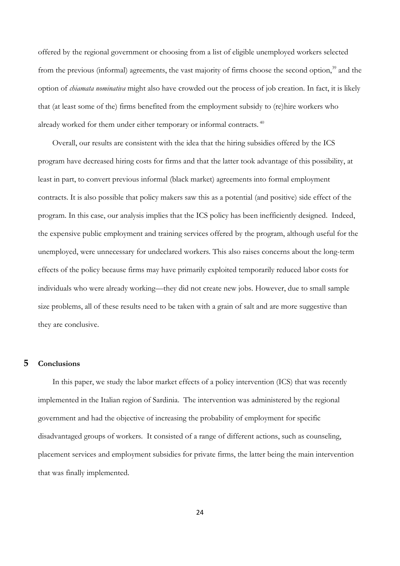offered by the regional government or choosing from a list of eligible unemployed workers selected from the previous (informal) agreements, the vast majority of firms choose the second option,<sup>39</sup> and the option of *chiamata nominativa* might also have crowded out the process of job creation. In fact, it is likely that (at least some of the) firms benefited from the employment subsidy to (re)hire workers who already worked for them under either temporary or informal contracts.<sup>40</sup>

Overall, our results are consistent with the idea that the hiring subsidies offered by the ICS program have decreased hiring costs for firms and that the latter took advantage of this possibility, at least in part, to convert previous informal (black market) agreements into formal employment contracts. It is also possible that policy makers saw this as a potential (and positive) side effect of the program. In this case, our analysis implies that the ICS policy has been inefficiently designed. Indeed, the expensive public employment and training services offered by the program, although useful for the unemployed, were unnecessary for undeclared workers. This also raises concerns about the long-term effects of the policy because firms may have primarily exploited temporarily reduced labor costs for individuals who were already working—they did not create new jobs. However, due to small sample size problems, all of these results need to be taken with a grain of salt and are more suggestive than they are conclusive.

#### **5 Conclusions**

In this paper, we study the labor market effects of a policy intervention (ICS) that was recently implemented in the Italian region of Sardinia. The intervention was administered by the regional government and had the objective of increasing the probability of employment for specific disadvantaged groups of workers. It consisted of a range of different actions, such as counseling, placement services and employment subsidies for private firms, the latter being the main intervention that was finally implemented.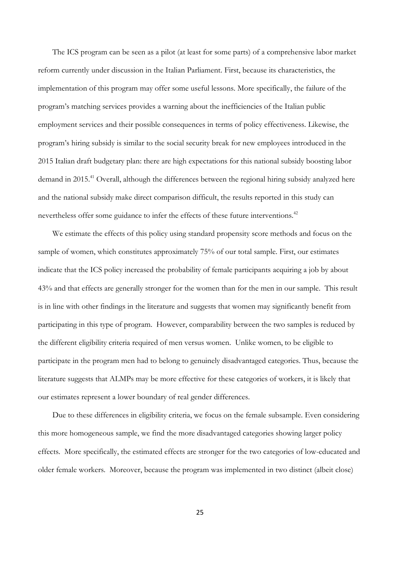The ICS program can be seen as a pilot (at least for some parts) of a comprehensive labor market reform currently under discussion in the Italian Parliament. First, because its characteristics, the implementation of this program may offer some useful lessons. More specifically, the failure of the program's matching services provides a warning about the inefficiencies of the Italian public employment services and their possible consequences in terms of policy effectiveness. Likewise, the program's hiring subsidy is similar to the social security break for new employees introduced in the 2015 Italian draft budgetary plan: there are high expectations for this national subsidy boosting labor demand in 2015.<sup>41</sup> Overall, although the differences between the regional hiring subsidy analyzed here and the national subsidy make direct comparison difficult, the results reported in this study can nevertheless offer some guidance to infer the effects of these future interventions.<sup>42</sup>

We estimate the effects of this policy using standard propensity score methods and focus on the sample of women, which constitutes approximately 75% of our total sample. First, our estimates indicate that the ICS policy increased the probability of female participants acquiring a job by about 43% and that effects are generally stronger for the women than for the men in our sample. This result is in line with other findings in the literature and suggests that women may significantly benefit from participating in this type of program. However, comparability between the two samples is reduced by the different eligibility criteria required of men versus women. Unlike women, to be eligible to participate in the program men had to belong to genuinely disadvantaged categories. Thus, because the literature suggests that ALMPs may be more effective for these categories of workers, it is likely that our estimates represent a lower boundary of real gender differences.

Due to these differences in eligibility criteria, we focus on the female subsample. Even considering this more homogeneous sample, we find the more disadvantaged categories showing larger policy effects. More specifically, the estimated effects are stronger for the two categories of low-educated and older female workers. Moreover, because the program was implemented in two distinct (albeit close)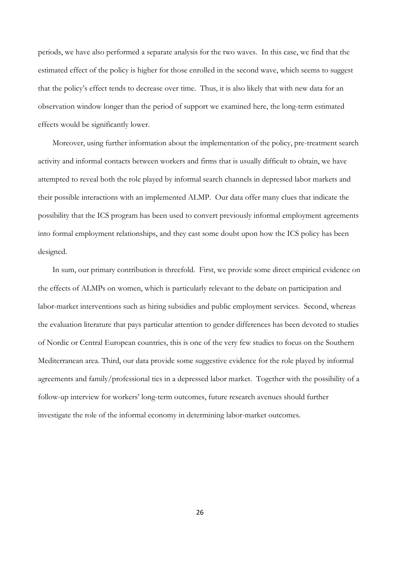periods, we have also performed a separate analysis for the two waves. In this case, we find that the estimated effect of the policy is higher for those enrolled in the second wave, which seems to suggest that the policy's effect tends to decrease over time. Thus, it is also likely that with new data for an observation window longer than the period of support we examined here, the long-term estimated effects would be significantly lower.

Moreover, using further information about the implementation of the policy, pre-treatment search activity and informal contacts between workers and firms that is usually difficult to obtain, we have attempted to reveal both the role played by informal search channels in depressed labor markets and their possible interactions with an implemented ALMP. Our data offer many clues that indicate the possibility that the ICS program has been used to convert previously informal employment agreements into formal employment relationships, and they cast some doubt upon how the ICS policy has been designed.

In sum, our primary contribution is threefold. First, we provide some direct empirical evidence on the effects of ALMPs on women, which is particularly relevant to the debate on participation and labor-market interventions such as hiring subsidies and public employment services. Second, whereas the evaluation literature that pays particular attention to gender differences has been devoted to studies of Nordic or Central European countries, this is one of the very few studies to focus on the Southern Mediterranean area. Third, our data provide some suggestive evidence for the role played by informal agreements and family/professional ties in a depressed labor market. Together with the possibility of a follow-up interview for workers' long-term outcomes, future research avenues should further investigate the role of the informal economy in determining labor-market outcomes.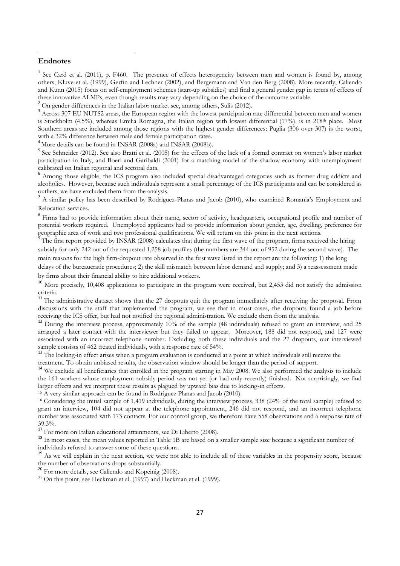#### **Endnotes**

1

<sup>1</sup> See Card et al. (2011), p. F460. The presence of effects heterogeneity between men and women is found by, among others, Kluve et al. (1999), Gerfin and Lechner (2002), and Bergemann and Van den Berg (2008). More recently, Caliendo and Kunn (2015) focus on self-employment schemes (start-up subsidies) and find a general gender gap in terms of effects of these innovative ALMPs, even though results may vary depending on the choice of the outcome variable.

<sup>2</sup> On gender differences in the Italian labor market see, among others, Sulis (2012).

<sup>3</sup> Across 307 EU NUTS2 areas, the European region with the lowest participation rate differential between men and women is Stockholm (4.5%), whereas Emilia Romagna, the Italian region with lowest differential (17%), is in 218<sup>th</sup> place. Most Southern areas are included among those regions with the highest gender differences; Puglia (306 over 307) is the worst, with a 32% difference between male and female participation rates.

<sup>4</sup> More details can be found in INSAR (2008a) and INSAR (2008b).

<sup>5</sup> See Schneider (2012). See also Bratti et al. (2005) for the effects of the lack of a formal contract on women's labor market participation in Italy, and Boeri and Garibaldi (2001) for a matching model of the shadow economy with unemployment calibrated on Italian regional and sectoral data.

<sup>6</sup> Among those eligible, the ICS program also included special disadvantaged categories such as former drug addicts and alcoholics. However, because such individuals represent a small percentage of the ICS participants and can be considered as outliers, we have excluded them from the analysis.

<sup>7</sup> A similar policy has been described by Rodriguez-Planas and Jacob (2010), who examined Romania's Employment and Relocation services.

<sup>8</sup> Firms had to provide information about their name, sector of activity, headquarters, occupational profile and number of potential workers required. Unemployed applicants had to provide information about gender, age, dwelling, preference for geographic area of work and two professional qualifications. We will return on this point in the next sections.<br><sup>9</sup> The first repeat are vided by INSAR (2008) selection that during the first were of the areasen firms requi

The first report provided by INSAR (2008) calculates that during the first wave of the program, firms received the hiring subsidy for only 242 out of the requested 1,258 job profiles (the numbers are 344 out of 952 during the second wave). The main reasons for the high firm-dropout rate observed in the first wave listed in the report are the following: 1) the long

delays of the bureaucratic procedures; 2) the skill mismatch between labor demand and supply; and 3) a reassessment made by firms about their financial ability to hire additional workers.

<sup>10</sup> More precisely, 10,408 applications to participate in the program were received, but 2,453 did not satisfy the admission criteria.

<sup>11</sup> The administrative dataset shows that the 27 dropouts quit the program immediately after receiving the proposal. From discussions with the staff that implemented the program, we see that in most cases, the dropouts found a job before receiving the ICS offer, but had not notified the regional administration. We exclude them from the analysis.

<sup>12</sup> During the interview process, approximately 10% of the sample (48 individuals) refused to grant an interview, and 25 arranged a later contact with the interviewer but they failed to appear. Moreover, 188 did not respond, and 127 were associated with an incorrect telephone number. Excluding both these individuals and the 27 dropouts, our interviewed sample consists of 462 treated individuals, with a response rate of 54%.

<sup>13</sup> The locking-in effect arises when a program evaluation is conducted at a point at which individuals still receive the treatment. To obtain unbiased results, the observation window should be longer than the period of support.

<sup>14</sup> We exclude all beneficiaries that enrolled in the program starting in May 2008. We also performed the analysis to include the 161 workers whose employment subsidy period was not yet (or had only recently) finished. Not surprisingly, we find larger effects and we interpret these results as plagued by upward bias due to locking-in effects.

<sup>15</sup> A very similar approach can be found in Rodriguez Planas and Jacob (2010).

<sup>16</sup> Considering the initial sample of 1,419 individuals, during the interview process, 338 (24% of the total sample) refused to grant an interview, 104 did not appear at the telephone appointment, 246 did not respond, and an incorrect telephone number was associated with 173 contacts. For our control group, we therefore have 558 observations and a response rate of 39.3%.

<sup>17</sup> For more on Italian educational attainments, see Di Liberto (2008).

<sup>18</sup> In most cases, the mean values reported in Table 1B are based on a smaller sample size because a significant number of individuals refused to answer some of these questions.

<sup>19</sup> As we will explain in the next section, we were not able to include all of these variables in the propensity score, because the number of observations drops substantially.

<sup>20</sup> For more details, see Caliendo and Kopeinig (2008).

 $21$  On this point, see Heckman et al. (1997) and Heckman et al. (1999).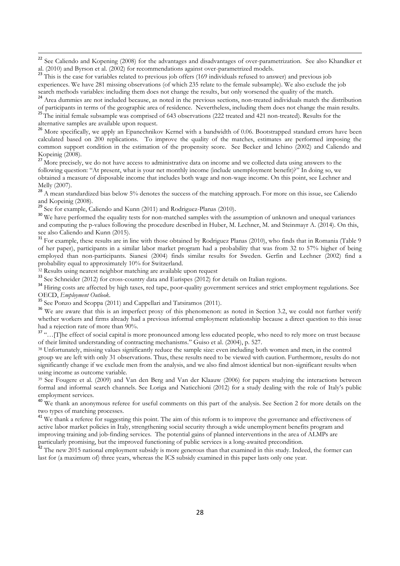<sup>22</sup> See Caliendo and Kopening (2008) for the advantages and disadvantages of over-parametrization. See also Khandker et al. (2010) and Byrson et al. (2002) for recommendations against over-parametrized models.

<sup>23</sup> This is the case for variables related to previous job offers (169 individuals refused to answer) and previous job experiences. We have 281 missing observations (of which 235 relate to the female subsample). We also exclude the job search methods variables: including them does not change the results, but only worsened the quality of the match.

<sup>24</sup> Area dummies are not included because, as noted in the previous sections, non-treated individuals match the distribution of participants in terms of the geographic area of residence. Nevertheless, including them does not change the main results.

<sup>25</sup>The initial female subsample was comprised of 643 observations (222 treated and 421 non-treated). Results for the alternative samples are available upon request.

<sup>26</sup> More specifically, we apply an Epanechnikov Kernel with a bandwidth of 0.06. Bootstrapped standard errors have been calculated based on 200 replications. To improve the quality of the matches, estimates are performed imposing the common support condition in the estimation of the propensity score. See Becker and Ichino (2002) and Caliendo and Kopeinig (2008).

<sup>27</sup> More precisely, we do not have access to administrative data on income and we collected data using answers to the following question: "At present, what is your net monthly income (include unemployment benefit)?" In doing so, we obtained a measure of disposable income that includes both wage and non-wage income. On this point, see Lechner and Melly (2007).

28 A mean standardized bias below 5% denotes the success of the matching approach. For more on this issue, see Caliendo and Kopeinig (2008).

<sup>29</sup> See for example, Caliendo and Kunn (2011) and Rodriguez-Planas (2010).

1

<sup>30</sup> We have performed the equality tests for non-matched samples with the assumption of unknown and unequal variances and computing the p-values following the procedure described in Huber, M. Lechner, M. and Steinmayr A. (2014). On this, see also Caliendo and Kunn (2015).

<sup>31</sup> For example, these results are in line with those obtained by Rodriguez Planas (2010), who finds that in Romania (Table 9 of her paper), participants in a similar labor market program had a probability that was from 32 to 57% higher of being employed than non-participants. Sianesi (2004) finds similar results for Sweden. Gerfin and Lechner (2002) find a probability equal to approximately 10% for Switzerland.

<sup>32</sup> Results using nearest neighbor matching are available upon request

<sup>33</sup> See Schneider (2012) for cross-country data and Eurispes (2012) for details on Italian regions.

<sup>34</sup> Hiring costs are affected by high taxes, red tape, poor-quality government services and strict employment regulations. See OECD, *Employment Outlook*.

<sup>35</sup> See Ponzo and Scoppa (2011) and Cappellari and Tatsiramos (2011).

<sup>36</sup> We are aware that this is an imperfect proxy of this phenomenon: as noted in Section 3.2, we could not further verify whether workers and firms already had a previous informal employment relationship because a direct question to this issue had a rejection rate of more than 90%.

<sup>37</sup> ".... [T]he effect of social capital is more pronounced among less educated people, who need to rely more on trust because of their limited understanding of contracting mechanisms." Guiso et al. (2004), p. 527.

<sup>38</sup> Unfortunately, missing values significantly reduce the sample size: even including both women and men, in the control group we are left with only 31 observations. Thus, these results need to be viewed with caution. Furthermore, results do not significantly change if we exclude men from the analysis, and we also find almost identical but non-significant results when using income as outcome variable.

<sup>39</sup> See Fougere et al. (2009) and Van den Berg and Van der Klaauw (2006) for papers studying the interactions between formal and informal search channels. See Loriga and Naticchioni (2012) for a study dealing with the role of Italy's public employment services.

<sup>40</sup> We thank an anonymous referee for useful comments on this part of the analysis. See Section 2 for more details on the two types of matching processes.

<sup>41</sup> We thank a referee for suggesting this point. The aim of this reform is to improve the governance and effectiveness of active labor market policies in Italy, strengthening social security through a wide unemployment benefits program and improving training and job-finding services. The potential gains of planned interventions in the area of ALMPs are particularly promising, but the improved functioning of public services is a long-awaited precondition.

<sup>42</sup> The new 2015 national employment subsidy is more generous than that examined in this study. Indeed, the former can last for (a maximum of) three years, whereas the ICS subsidy examined in this paper lasts only one year.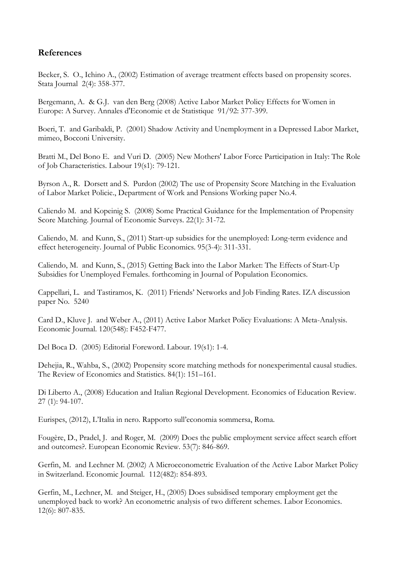### **References**

Becker, S. O., Ichino A., (2002) Estimation of average treatment effects based on propensity scores. Stata Journal 2(4): 358-377.

Bergemann, A. & G.J. van den Berg (2008) Active Labor Market Policy Effects for Women in Europe: A Survey. Annales d'Economie et de Statistique 91/92: 377-399.

Boeri, T. and Garibaldi, P. (2001) Shadow Activity and Unemployment in a Depressed Labor Market, mimeo, Bocconi University.

Bratti M., Del Bono E. and Vuri D. (2005) New Mothers' Labor Force Participation in Italy: The Role of Job Characteristics. Labour 19(s1): 79-121.

Byrson A., R. Dorsett and S. Purdon (2002) The use of Propensity Score Matching in the Evaluation of Labor Market Policie., Department of Work and Pensions Working paper No.4.

Caliendo M. and Kopeinig S. (2008) Some Practical Guidance for the Implementation of Propensity Score Matching. Journal of Economic Surveys. 22(1): 31-72.

Caliendo, M. and Kunn, S., (2011) Start-up subsidies for the unemployed: Long-term evidence and effect heterogeneity. Journal of Public Economics. 95(3-4): 311-331.

Caliendo, M. and Kunn, S., (2015) Getting Back into the Labor Market: The Effects of Start-Up Subsidies for Unemployed Females. forthcoming in Journal of Population Economics.

Cappellari, L. and Tastiramos, K. (2011) Friends' Networks and Job Finding Rates. IZA discussion paper No. 5240

Card D., Kluve J. and Weber A., (2011) Active Labor Market Policy Evaluations: A Meta-Analysis. Economic Journal. 120(548): F452-F477.

Del Boca D. (2005) Editorial Foreword. Labour. 19(s1): 1-4.

Dehejia, R., Wahba, S., (2002) Propensity score matching methods for nonexperimental causal studies. The Review of Economics and Statistics. 84(1): 151–161.

Di Liberto A., (2008) Education and Italian Regional Development. Economics of Education Review. 27 (1): 94-107.

Eurispes, (2012), L'Italia in nero. Rapporto sull'economia sommersa, Roma.

Fougère, D., Pradel, J. and Roger, M. (2009) Does the public employment service affect search effort and outcomes?. European Economic Review. 53(7): 846-869.

Gerfin, M. and Lechner M. (2002) A Microeconometric Evaluation of the Active Labor Market Policy in Switzerland. Economic Journal. 112(482): 854-893.

Gerfin, M., Lechner, M. and Steiger, H., (2005) Does subsidised temporary employment get the unemployed back to work? An econometric analysis of two different schemes. Labor Economics. 12(6): 807-835.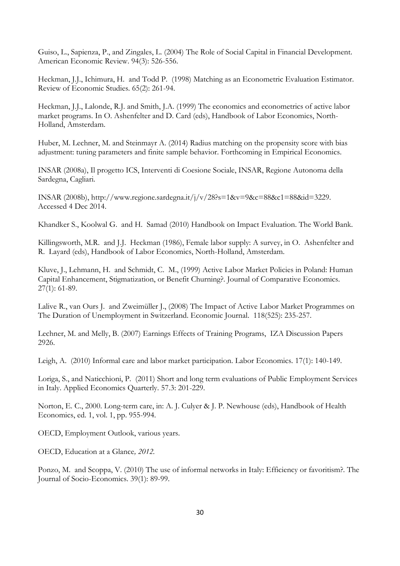Guiso, L., Sapienza, P., and Zingales, L. (2004) The Role of Social Capital in Financial Development. American Economic Review. 94(3): 526-556.

Heckman, J.J., Ichimura, H. and Todd P. (1998) Matching as an Econometric Evaluation Estimator. Review of Economic Studies. 65(2): 261-94.

Heckman, J.J., Lalonde, R.J. and Smith, J.A. (1999) The economics and econometrics of active labor market programs. In O. Ashenfelter and D. Card (eds), Handbook of Labor Economics, North-Holland, Amsterdam.

Huber, M. Lechner, M. and Steinmayr A. (2014) Radius matching on the propensity score with bias adjustment: tuning parameters and finite sample behavior. Forthcoming in Empirical Economics.

INSAR (2008a), Il progetto ICS, Interventi di Coesione Sociale, INSAR, Regione Autonoma della Sardegna, Cagliari.

INSAR (2008b), http://www.regione.sardegna.it/j/v/28?s=1&v=9&c=88&c1=88&id=3229. Accessed 4 Dec 2014.

Khandker S., Koolwal G. and H. Samad (2010) Handbook on Impact Evaluation. The World Bank.

Killingsworth, M.R. and J.J. Heckman (1986), Female labor supply: A survey, in O. Ashenfelter and R. Layard (eds), Handbook of Labor Economics, North-Holland, Amsterdam.

Kluve, J., Lehmann, H. and Schmidt, C. M., (1999) Active Labor Market Policies in Poland: Human Capital Enhancement, Stigmatization, or Benefit Churning?. Journal of Comparative Economics. 27(1): 61-89.

Lalive R., van Ours J. and Zweimüller J., (2008) The Impact of Active Labor Market Programmes on The Duration of Unemployment in Switzerland. Economic Journal. 118(525): 235-257.

Lechner, M. and Melly, B. (2007) Earnings Effects of Training Programs, IZA Discussion Papers 2926.

Leigh, A. (2010) Informal care and labor market participation. Labor Economics. 17(1): 140-149.

Loriga, S., and Naticchioni, P. (2011) Short and long term evaluations of Public Employment Services in Italy. Applied Economics Quarterly. 57.3: 201-229.

Norton, E. C., 2000. Long-term care, in: A. J. Culyer & J. P. Newhouse (eds), Handbook of Health Economics, ed. 1, vol. 1, pp. 955-994.

OECD, Employment Outlook, various years.

OECD, Education at a Glance*, 2012.* 

Ponzo, M. and Scoppa, V. (2010) The use of informal networks in Italy: Efficiency or favoritism?. The Journal of Socio-Economics. 39(1): 89-99.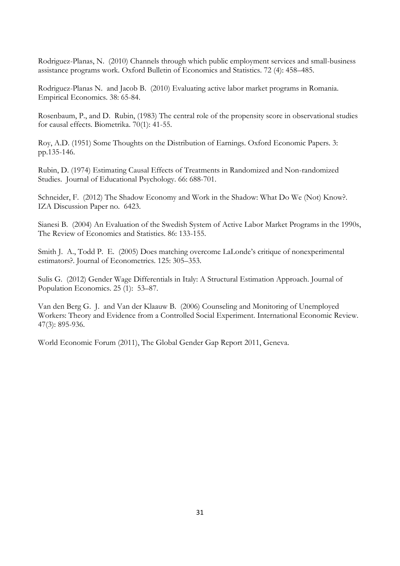Rodriguez-Planas, N. (2010) Channels through which public employment services and small-business assistance programs work. Oxford Bulletin of Economics and Statistics. 72 (4): 458–485.

Rodriguez-Planas N. and Jacob B. (2010) Evaluating active labor market programs in Romania. Empirical Economics. 38: 65-84.

Rosenbaum, P., and D. Rubin, (1983) The central role of the propensity score in observational studies for causal effects. Biometrika. 70(1): 41-55.

Roy, A.D. (1951) Some Thoughts on the Distribution of Earnings. Oxford Economic Papers. 3: pp.135-146.

Rubin, D. (1974) Estimating Causal Effects of Treatments in Randomized and Non-randomized Studies. Journal of Educational Psychology. 66: 688-701.

Schneider, F. (2012) The Shadow Economy and Work in the Shadow: What Do We (Not) Know?. IZA Discussion Paper no. 6423.

Sianesi B. (2004) An Evaluation of the Swedish System of Active Labor Market Programs in the 1990s, The Review of Economics and Statistics. 86: 133-155.

Smith J. A., Todd P. E. (2005) Does matching overcome LaLonde's critique of nonexperimental estimators?. Journal of Econometrics. 125: 305–353.

Sulis G. (2012) Gender Wage Differentials in Italy: A Structural Estimation Approach. Journal of Population Economics. 25 (1): 53–87.

Van den Berg G. J. and Van der Klaauw B. (2006) Counseling and Monitoring of Unemployed Workers: Theory and Evidence from a Controlled Social Experiment. International Economic Review. 47(3): 895-936.

World Economic Forum (2011), The Global Gender Gap Report 2011, Geneva.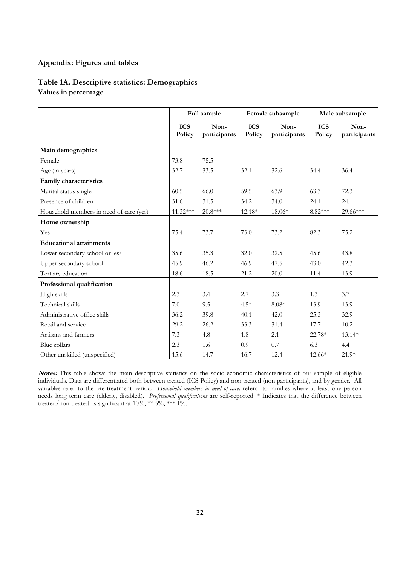#### **Appendix: Figures and tables**

#### **Table 1A. Descriptive statistics: Demographics Values in percentage**

|                                         |                      | Full sample          | Female subsample     |                      | Male subsample       |                      |
|-----------------------------------------|----------------------|----------------------|----------------------|----------------------|----------------------|----------------------|
|                                         | <b>ICS</b><br>Policy | Non-<br>participants | <b>ICS</b><br>Policy | Non-<br>participants | <b>ICS</b><br>Policy | Non-<br>participants |
| Main demographics                       |                      |                      |                      |                      |                      |                      |
| Female                                  | 73.8                 | 75.5                 |                      |                      |                      |                      |
| Age (in years)                          | 32.7                 | 33.5                 | 32.1                 | 32.6                 | 34.4                 | 36.4                 |
| Family characteristics                  |                      |                      |                      |                      |                      |                      |
| Marital status single                   | 60.5                 | 66.0                 | 59.5                 | 63.9                 | 63.3                 | 72.3                 |
| Presence of children                    | 31.6                 | 31.5                 | 34.2                 | 34.0                 | 24.1                 | 24.1                 |
| Household members in need of care (yes) | $11.32***$           | 20.8***              | 12.18*               | $18.06*$             | $8.82***$            | 29.66***             |
| Home ownership                          |                      |                      |                      |                      |                      |                      |
| Yes                                     | 75.4                 | 73.7                 | 73.0                 | 73.2                 | 82.3                 | 75.2                 |
| <b>Educational attainments</b>          |                      |                      |                      |                      |                      |                      |
| Lower secondary school or less          | 35.6                 | 35.3                 | 32.0                 | 32.5                 | 45.6                 | 43.8                 |
| Upper secondary school                  | 45.9                 | 46.2                 | 46.9                 | 47.5                 | 43.0                 | 42.3                 |
| Tertiary education                      | 18.6                 | 18.5                 | 21.2                 | 20.0                 | 11.4                 | 13.9                 |
| Professional qualification              |                      |                      |                      |                      |                      |                      |
| High skills                             | 2.3                  | 3.4                  | 2.7                  | 3.3                  | 1.3                  | 3.7                  |
| Technical skills                        | 7.0                  | 9.5                  | $4.5*$               | $8.08*$              | 13.9                 | 13.9                 |
| Administrative office skills            | 36.2                 | 39.8                 | 40.1                 | 42.0                 | 25.3                 | 32.9                 |
| Retail and service                      | 29.2                 | 26.2                 | 33.3                 | 31.4                 | 17.7                 | 10.2                 |
| Artisans and farmers                    | 7.3                  | 4.8                  | 1.8                  | 2.1                  | 22.78*               | 13.14*               |
| Blue collars                            | 2.3                  | 1.6                  | 0.9                  | 0.7                  | 6.3                  | 4.4                  |
| Other unskilled (unspecified)           | 15.6                 | 14.7                 | 16.7                 | 12.4                 | 12.66*               | 21.9*                |

**Notes:** This table shows the main descriptive statistics on the socio-economic characteristics of our sample of eligible individuals. Data are differentiated both between treated (ICS Policy) and non treated (non participants), and by gender. All variables refer to the pre-treatment period. *Household members in need of care*: refers to families where at least one person needs long term care (elderly, disabled). *Professional qualifications* are self-reported. \* Indicates that the difference between treated/non treated is significant at  $10\%$ , \*\*  $5\%$ , \*\*\*  $1\%$ .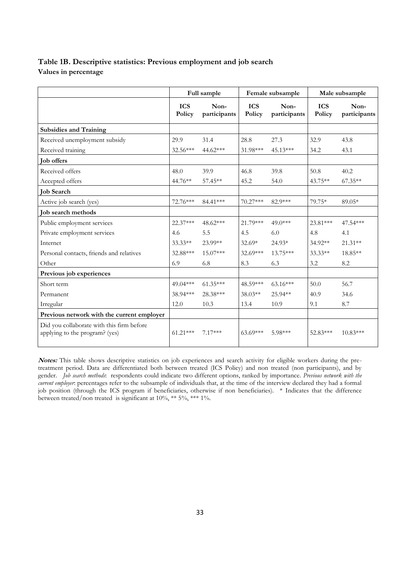### **Table 1B. Descriptive statistics: Previous employment and job search Values in percentage**

|                                                                             | Full sample          |                      | Female subsample     |                      | Male subsample       |                      |
|-----------------------------------------------------------------------------|----------------------|----------------------|----------------------|----------------------|----------------------|----------------------|
|                                                                             | <b>ICS</b><br>Policy | Non-<br>participants | <b>ICS</b><br>Policy | Non-<br>participants | <b>ICS</b><br>Policy | Non-<br>participants |
| <b>Subsidies and Training</b>                                               |                      |                      |                      |                      |                      |                      |
| Received unemployment subsidy                                               | 29.9                 | 31.4                 | 28.8                 | 27.3                 | 32.9                 | 43.8                 |
| Received training                                                           | 32.56***             | 44.62***             | 31.98***             | 45.13***             | 34.2                 | 43.1                 |
| <b>Job offers</b>                                                           |                      |                      |                      |                      |                      |                      |
| Received offers                                                             | 48.0                 | 39.9                 | 46.8                 | 39.8                 | 50.8                 | 40.2                 |
| Accepted offers                                                             | 44.76**              | 57.45**              | 45.2                 | 54.0                 | $43.75**$            | $67.35**$            |
| <b>Job Search</b>                                                           |                      |                      |                      |                      |                      |                      |
| Active job search (yes)                                                     | 72.76***             | 84.41***             | $70.27***$           | 82.9***              | 79.75*               | $89.05*$             |
| Job search methods                                                          |                      |                      |                      |                      |                      |                      |
| Public employment services                                                  | 22.37***             | 48.62***             | 21.79***             | $49.0***$            | 23.81***             | 47.54***             |
| Private employment services                                                 | 4.6                  | 5.5                  | 4.5                  | 6.0                  | 4.8                  | 4.1                  |
| Internet                                                                    | 33.33**              | 23.99**              | $32.69*$             | 24.93*               | 34.92**              | $21.31**$            |
| Personal contacts, friends and relatives                                    | 32.88***             | 15.07***             | $32.69***$           | 13.75***             | $33.33**$            | 18.85**              |
| Other                                                                       | 6.9                  | 6.8                  | 8.3                  | 6.3                  | 3.2                  | 8.2                  |
| Previous job experiences                                                    |                      |                      |                      |                      |                      |                      |
| Short term                                                                  | 49.04***             | $61.35***$           | 48.59***             | $63.16***$           | 50.0                 | 56.7                 |
| Permanent                                                                   | 38.94***             | 28.38***             | $38.03**$            | 25.94**              | 40.9                 | 34.6                 |
| Irregular                                                                   | 12.0                 | 10.3                 | 13.4                 | 10.9                 | 9.1                  | 8.7                  |
| Previous network with the current employer                                  |                      |                      |                      |                      |                      |                      |
| Did you collaborate with this firm before<br>applying to the program? (yes) | $61.21***$           | $7.17***$            | $63.69***$           | 5.98***              | 52.83***             | $10.83***$           |

**Notes:** This table shows descriptive statistics on job experiences and search activity for eligible workers during the pretreatment period. Data are differentiated both between treated (ICS Policy) and non treated (non participants), and by gender. *Job search methods*: respondents could indicate two different options, ranked by importance. *Previous network with the current employer*: percentages refer to the subsample of individuals that, at the time of the interview declared they had a formal job position (through the ICS program if beneficiaries, otherwise if non beneficiaries). \* Indicates that the difference between treated/non treated is significant at 10%, \*\* 5%, \*\*\* 1%.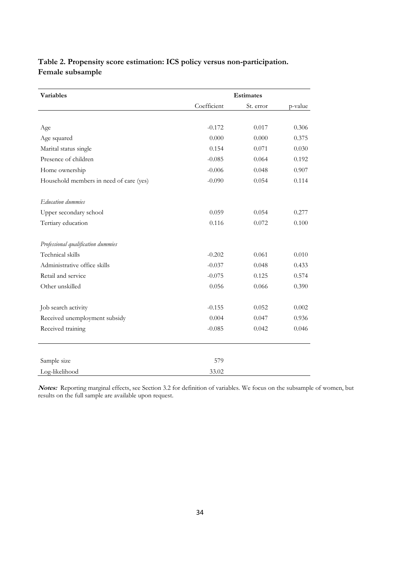### **Table 2. Propensity score estimation: ICS policy versus non-participation. Female subsample**

| <b>Variables</b>                        |             | <b>Estimates</b> |         |  |  |  |
|-----------------------------------------|-------------|------------------|---------|--|--|--|
|                                         | Coefficient | St. error        | p-value |  |  |  |
|                                         |             |                  |         |  |  |  |
| Age                                     | $-0.172$    | 0.017            | 0.306   |  |  |  |
| Age squared                             | 0.000       | 0.000            | 0.375   |  |  |  |
| Marital status single                   | 0.154       | 0.071            | 0.030   |  |  |  |
| Presence of children                    | $-0.085$    | 0.064            | 0.192   |  |  |  |
| Home ownership                          | $-0.006$    | 0.048            | 0.907   |  |  |  |
| Household members in need of care (yes) | $-0.090$    | 0.054            | 0.114   |  |  |  |
| <b>Education dummies</b>                |             |                  |         |  |  |  |
| Upper secondary school                  | 0.059       | 0.054            | 0.277   |  |  |  |
| Tertiary education                      | 0.116       | 0.072            | 0.100   |  |  |  |
|                                         |             |                  |         |  |  |  |
| Professional qualification dummies      |             |                  |         |  |  |  |
| Technical skills                        | $-0.202$    | 0.061            | 0.010   |  |  |  |
| Administrative office skills            | $-0.037$    | 0.048            | 0.433   |  |  |  |
| Retail and service                      | $-0.075$    | 0.125            | 0.574   |  |  |  |
| Other unskilled                         | 0.056       | 0.066            | 0.390   |  |  |  |
|                                         |             |                  |         |  |  |  |
| Job search activity                     | $-0.155$    | 0.052            | 0.002   |  |  |  |
| Received unemployment subsidy           | 0.004       | 0.047            | 0.936   |  |  |  |
| Received training                       | $-0.085$    | 0.042            | 0.046   |  |  |  |
|                                         |             |                  |         |  |  |  |
| Sample size                             | 579         |                  |         |  |  |  |
| Log-likelihood                          | 33.02       |                  |         |  |  |  |

**Notes:** Reporting marginal effects, see Section 3.2 for definition of variables. We focus on the subsample of women, but results on the full sample are available upon request.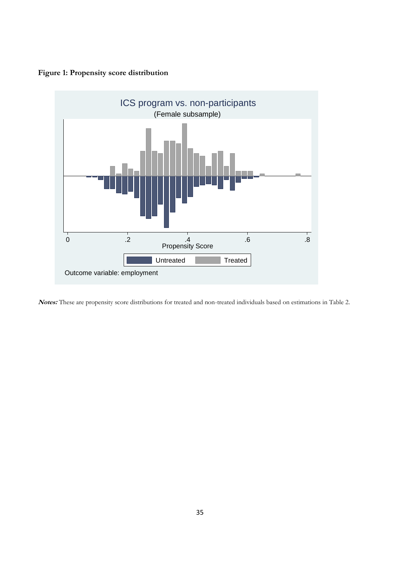### **Figure 1: Propensity score distribution**



**Notes:** These are propensity score distributions for treated and non-treated individuals based on estimations in Table 2.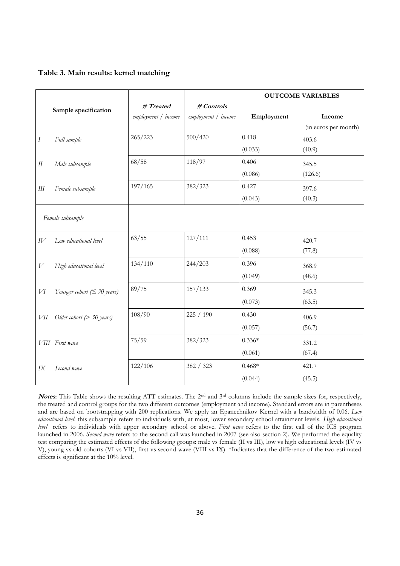|  | Table 3. Main results: kernel matching |
|--|----------------------------------------|

|        |                                   |                     |                     |            | <b>OUTCOME VARIABLES</b> |
|--------|-----------------------------------|---------------------|---------------------|------------|--------------------------|
|        | Sample specification              | # Treated           | # Controls          |            |                          |
|        |                                   | employment / income | employment / income | Employment | Income                   |
|        |                                   | 265/223             | 500/420             | 0.418      | (in euros per month)     |
| Ι      | Full sample                       |                     |                     |            | 403.6                    |
|        |                                   |                     |                     | (0.033)    | (40.9)                   |
| $I\!I$ | Male subsample                    | 68/58               | 118/97              | 0.406      | 345.5                    |
|        |                                   |                     |                     | (0.086)    | (126.6)                  |
| Ш      | Female subsample                  | 197/165             | 382/323             | 0.427      | 397.6                    |
|        |                                   |                     |                     | (0.043)    | (40.3)                   |
|        | Female subsample                  |                     |                     |            |                          |
| IV     | Low educational level             | 63/55               | 127/111             | 0.453      | 420.7                    |
|        |                                   |                     |                     | (0.088)    | (77.8)                   |
| V      | High educational level            | 134/110             | 244/203             | 0.396      | 368.9                    |
|        |                                   |                     |                     | (0.049)    | (48.6)                   |
| VI     | Younger cohort ( $\leq$ 30 years) | 89/75               | 157/133             | 0.369      | 345.3                    |
|        |                                   |                     |                     | (0.073)    | (63.5)                   |
| VІІ    | Older cohort $(> 30$ years)       | 108/90              | 225 / 190           | 0.430      | 406.9                    |
|        |                                   |                     |                     | (0.057)    | (56.7)                   |
|        | VIII First wave                   | 75/59               | 382/323             | $0.336*$   | 331.2                    |
|        |                                   |                     |                     | (0.061)    | (67.4)                   |
| IX     | Second wave                       | 122/106             | 382 / 323           | $0.468*$   | 421.7                    |
|        |                                   |                     |                     | (0.044)    | (45.5)                   |

Notes: This Table shows the resulting ATT estimates. The 2<sup>nd</sup> and 3<sup>rd</sup> columns include the sample sizes for, respectively, the treated and control groups for the two different outcomes (employment and income). Standard errors are in parentheses and are based on bootstrapping with 200 replications. We apply an Epanechnikov Kernel with a bandwidth of 0.06. *Low educational level*: this subsample refers to individuals with, at most, lower secondary school attainment levels. *High educational level* refers to individuals with upper secondary school or above. *First wave* refers to the first call of the ICS program launched in 2006. *Second wave* refers to the second call was launched in 2007 (see also section 2). We performed the equality test comparing the estimated effects of the following groups: male vs female (II vs III), low vs high educational levels (IV vs V), young vs old cohorts (VI vs VII), first vs second wave (VIII vs IX). \*Indicates that the difference of the two estimated effects is significant at the 10% level.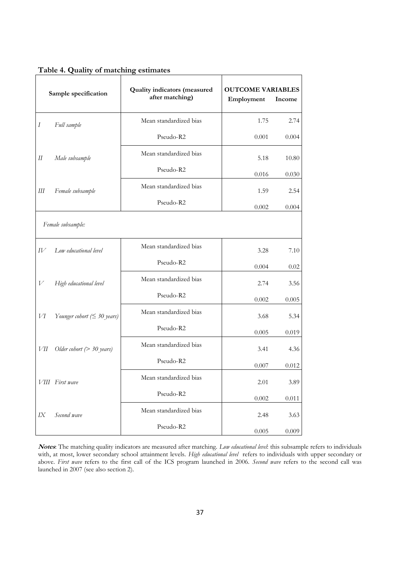|                          | Sample specification              | <b>Quality indicators (measured</b><br>after matching) | <b>OUTCOME VARIABLES</b><br>Employment | Income |
|--------------------------|-----------------------------------|--------------------------------------------------------|----------------------------------------|--------|
| $\boldsymbol{I}$         | Full sample                       | Mean standardized bias                                 | 1.75                                   | 2.74   |
|                          |                                   | Pseudo-R2                                              | 0.001                                  | 0.004  |
| $\mathcal{I}\mathcal{I}$ | Male subsample                    | Mean standardized bias                                 | 5.18                                   | 10.80  |
|                          |                                   | Pseudo-R2                                              | 0.016                                  | 0.030  |
| Ш                        | Female subsample                  | Mean standardized bias                                 | 1.59                                   | 2.54   |
|                          |                                   | Pseudo-R2                                              | 0.002                                  | 0.004  |
|                          | Female subsample:                 |                                                        |                                        |        |
| IV                       | Low educational level             | Mean standardized bias                                 | 3.28                                   | 7.10   |
|                          |                                   | Pseudo-R2                                              | 0.004                                  | 0.02   |
| V                        | High educational level            | Mean standardized bias                                 | 2.74                                   | 3.56   |
|                          |                                   | Pseudo-R2                                              | 0.002                                  | 0.005  |
| И                        | Younger cohort ( $\leq$ 30 years) | Mean standardized bias                                 | 3.68                                   | 5.34   |
|                          |                                   | Pseudo-R2                                              | 0.005                                  | 0.019  |
| VІІ                      | Older cohort ( $>$ 30 years)      | Mean standardized bias                                 | 3.41                                   | 4.36   |
|                          |                                   | Pseudo-R2                                              | 0.007                                  | 0.012  |
|                          | VIII First wave                   | Mean standardized bias                                 | 2.01                                   | 3.89   |
|                          |                                   | Pseudo-R2                                              | 0.002                                  | 0.011  |
| IX                       | Second wave                       | Mean standardized bias                                 | 2.48                                   | 3.63   |
|                          |                                   | Pseudo-R2                                              | 0.005                                  | 0.009  |

#### **Table 4. Quality of matching estimates**

**Notes**: The matching quality indicators are measured after matching. *Low educational level*: this subsample refers to individuals with, at most, lower secondary school attainment levels. *High educational level* refers to individuals with upper secondary or above. *First wave* refers to the first call of the ICS program launched in 2006. *Second wave* refers to the second call was launched in 2007 (see also section 2).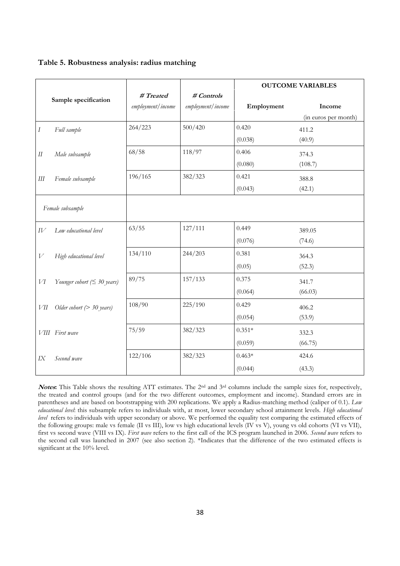| Table 5. Robustness analysis: radius matching |  |  |
|-----------------------------------------------|--|--|
|-----------------------------------------------|--|--|

|        |                                   |                   |                   |            | <b>OUTCOME VARIABLES</b> |
|--------|-----------------------------------|-------------------|-------------------|------------|--------------------------|
|        | Sample specification              | # Treated         | # Controls        |            |                          |
|        |                                   | employment/income | employment/income | Employment | Income                   |
|        |                                   |                   |                   |            | (in euros per month)     |
| Ι      | Full sample                       | 264/223           | 500/420           | 0.420      | 411.2                    |
|        |                                   |                   |                   | (0.038)    | (40.9)                   |
| $I\!I$ | Male subsample                    | 68/58             | 118/97            | 0.406      | 374.3                    |
|        |                                   |                   |                   | (0.080)    | (108.7)                  |
| Ш      | Female subsample                  | 196/165           | 382/323           | 0.421      | 388.8                    |
|        |                                   |                   |                   | (0.043)    | (42.1)                   |
|        |                                   |                   |                   |            |                          |
|        | Female subsample                  |                   |                   |            |                          |
| IV     | Low educational level             | 63/55             | 127/111           | 0.449      | 389.05                   |
|        |                                   |                   |                   | (0.076)    | (74.6)                   |
| V      | High educational level            | 134/110           | 244/203           | 0.381      | 364.3                    |
|        |                                   |                   |                   | (0.05)     | (52.3)                   |
| И      | Younger cohort ( $\leq$ 30 years) | 89/75             | 157/133           | 0.375      | 341.7                    |
|        |                                   |                   |                   | (0.064)    | (66.03)                  |
| VІІ    | Older cohort $(> 30$ years)       | 108/90            | 225/190           | 0.429      | 406.2                    |
|        |                                   |                   |                   | (0.054)    | (53.9)                   |
|        | VIII First wave                   | 75/59             | 382/323           | $0.351*$   | 332.3                    |
|        |                                   |                   |                   | (0.059)    | (66.75)                  |
| IX     | Second wave                       | 122/106           | 382/323           | $0.463*$   | 424.6                    |
|        |                                   |                   |                   | (0.044)    | (43.3)                   |

Notes: This Table shows the resulting ATT estimates. The 2<sup>nd</sup> and 3<sup>rd</sup> columns include the sample sizes for, respectively, the treated and control groups (and for the two different outcomes, employment and income). Standard errors are in parentheses and are based on bootstrapping with 200 replications. We apply a Radius-matching method (caliper of 0.1). *Low educational level*: this subsample refers to individuals with, at most, lower secondary school attainment levels. *High educational level* refers to individuals with upper secondary or above. We performed the equality test comparing the estimated effects of the following groups: male vs female (II vs III), low vs high educational levels (IV vs V), young vs old cohorts (VI vs VII), first vs second wave (VIII vs IX). *First wave* refers to the first call of the ICS program launched in 2006. *Second wave* refers to the second call was launched in 2007 (see also section 2). \*Indicates that the difference of the two estimated effects is significant at the 10% level.